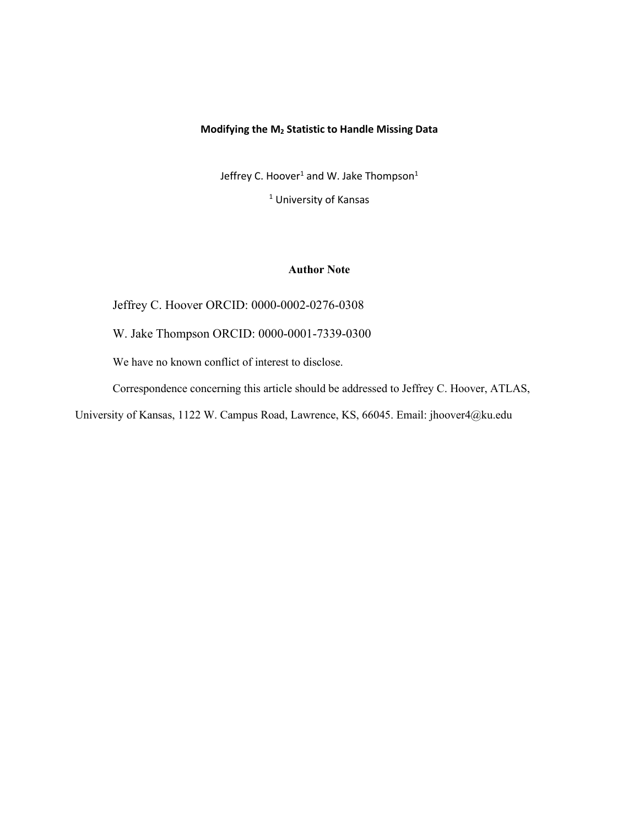## **Modifying the M<sup>2</sup> Statistic to Handle Missing Data**

Jeffrey C. Hoover<sup>1</sup> and W. Jake Thompson<sup>1</sup>

<sup>1</sup> University of Kansas

## **Author Note**

Jeffrey C. Hoover ORCID: 0000-0002-0276-0308

W. Jake Thompson ORCID: 0000-0001-7339-0300

We have no known conflict of interest to disclose.

Correspondence concerning this article should be addressed to Jeffrey C. Hoover, ATLAS,

University of Kansas, 1122 W. Campus Road, Lawrence, KS, 66045. Email: jhoover4@ku.edu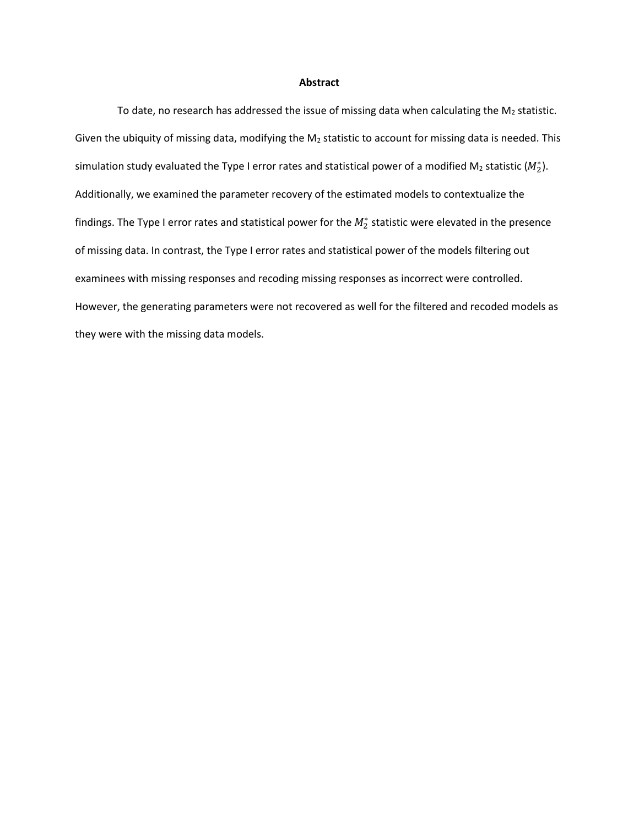#### **Abstract**

To date, no research has addressed the issue of missing data when calculating the  $M_2$  statistic. Given the ubiquity of missing data, modifying the  $M_2$  statistic to account for missing data is needed. This simulation study evaluated the Type I error rates and statistical power of a modified M<sub>2</sub> statistic ( $M_2^*$ ). Additionally, we examined the parameter recovery of the estimated models to contextualize the findings. The Type I error rates and statistical power for the  $M_2^*$  statistic were elevated in the presence of missing data. In contrast, the Type I error rates and statistical power of the models filtering out examinees with missing responses and recoding missing responses as incorrect were controlled. However, the generating parameters were not recovered as well for the filtered and recoded models as they were with the missing data models.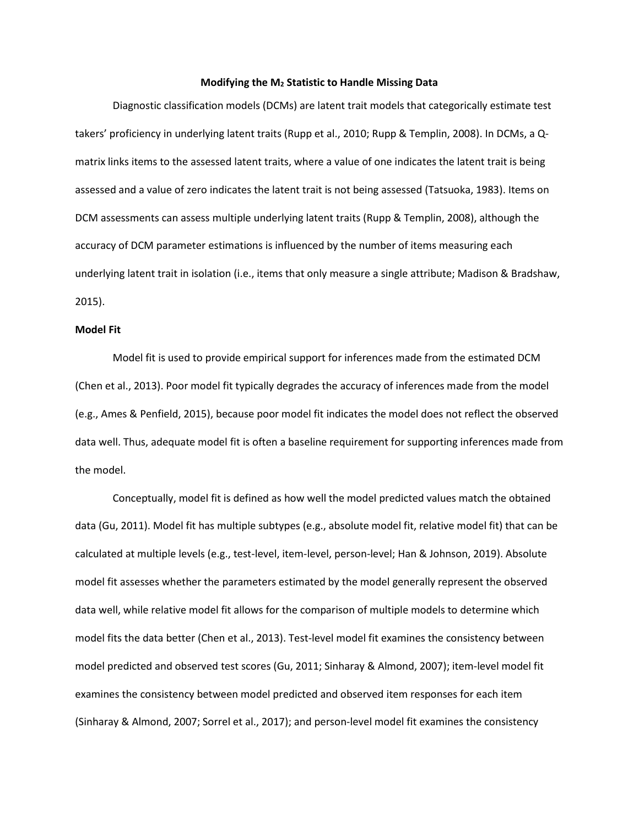#### **Modifying the M<sup>2</sup> Statistic to Handle Missing Data**

Diagnostic classification models (DCMs) are latent trait models that categorically estimate test takers' proficiency in underlying latent traits (Rupp et al., 2010; Rupp & Templin, 2008). In DCMs, a Qmatrix links items to the assessed latent traits, where a value of one indicates the latent trait is being assessed and a value of zero indicates the latent trait is not being assessed (Tatsuoka, 1983). Items on DCM assessments can assess multiple underlying latent traits (Rupp & Templin, 2008), although the accuracy of DCM parameter estimations is influenced by the number of items measuring each underlying latent trait in isolation (i.e., items that only measure a single attribute; Madison & Bradshaw, 2015).

### **Model Fit**

Model fit is used to provide empirical support for inferences made from the estimated DCM (Chen et al., 2013). Poor model fit typically degrades the accuracy of inferences made from the model (e.g., Ames & Penfield, 2015), because poor model fit indicates the model does not reflect the observed data well. Thus, adequate model fit is often a baseline requirement for supporting inferences made from the model.

Conceptually, model fit is defined as how well the model predicted values match the obtained data (Gu, 2011). Model fit has multiple subtypes (e.g., absolute model fit, relative model fit) that can be calculated at multiple levels (e.g., test-level, item-level, person-level; Han & Johnson, 2019). Absolute model fit assesses whether the parameters estimated by the model generally represent the observed data well, while relative model fit allows for the comparison of multiple models to determine which model fits the data better (Chen et al., 2013). Test-level model fit examines the consistency between model predicted and observed test scores (Gu, 2011; Sinharay & Almond, 2007); item-level model fit examines the consistency between model predicted and observed item responses for each item (Sinharay & Almond, 2007; Sorrel et al., 2017); and person-level model fit examines the consistency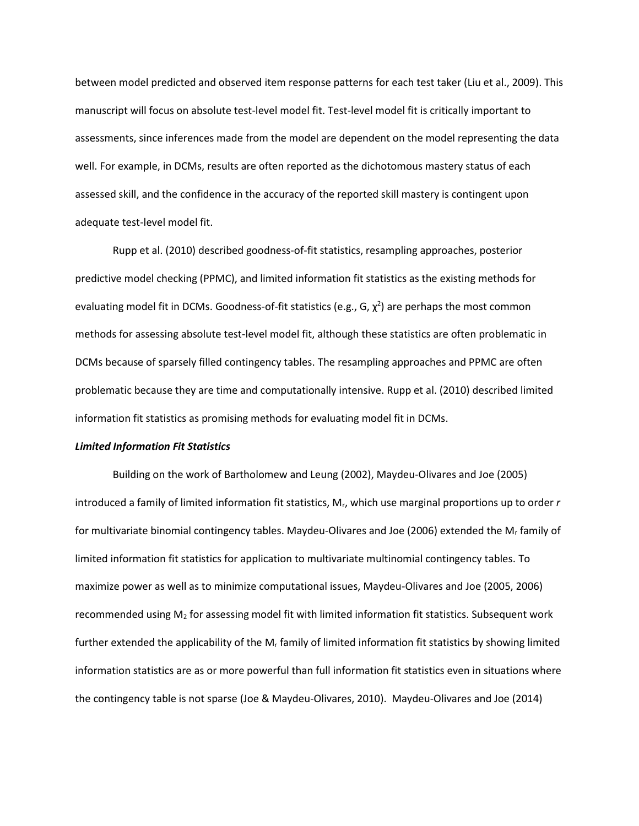between model predicted and observed item response patterns for each test taker (Liu et al., 2009). This manuscript will focus on absolute test-level model fit. Test-level model fit is critically important to assessments, since inferences made from the model are dependent on the model representing the data well. For example, in DCMs, results are often reported as the dichotomous mastery status of each assessed skill, and the confidence in the accuracy of the reported skill mastery is contingent upon adequate test-level model fit.

Rupp et al. (2010) described goodness-of-fit statistics, resampling approaches, posterior predictive model checking (PPMC), and limited information fit statistics as the existing methods for evaluating model fit in DCMs. Goodness-of-fit statistics (e.g., G,  $\chi^2$ ) are perhaps the most common methods for assessing absolute test-level model fit, although these statistics are often problematic in DCMs because of sparsely filled contingency tables. The resampling approaches and PPMC are often problematic because they are time and computationally intensive. Rupp et al. (2010) described limited information fit statistics as promising methods for evaluating model fit in DCMs.

### *Limited Information Fit Statistics*

Building on the work of Bartholomew and Leung (2002), Maydeu-Olivares and Joe (2005) introduced a family of limited information fit statistics, Mr, which use marginal proportions up to order *r*  for multivariate binomial contingency tables. Maydeu-Olivares and Joe (2006) extended the M<sup>r</sup> family of limited information fit statistics for application to multivariate multinomial contingency tables. To maximize power as well as to minimize computational issues, Maydeu-Olivares and Joe (2005, 2006) recommended using M<sup>2</sup> for assessing model fit with limited information fit statistics. Subsequent work further extended the applicability of the  $M_r$  family of limited information fit statistics by showing limited information statistics are as or more powerful than full information fit statistics even in situations where the contingency table is not sparse (Joe & Maydeu-Olivares, 2010). Maydeu-Olivares and Joe (2014)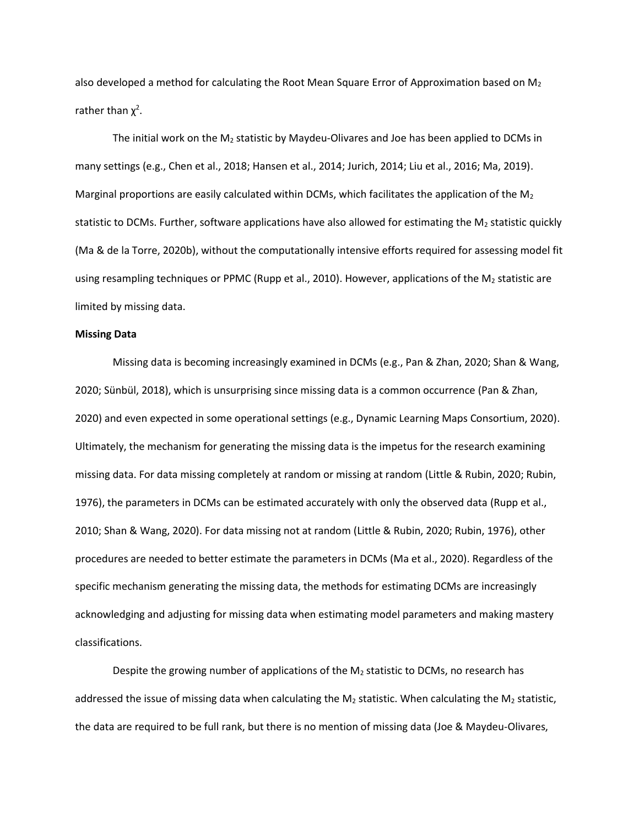also developed a method for calculating the Root Mean Square Error of Approximation based on  $M_2$ rather than  $\chi^2$ .

The initial work on the  $M_2$  statistic by Maydeu-Olivares and Joe has been applied to DCMs in many settings (e.g., Chen et al., 2018; Hansen et al., 2014; Jurich, 2014; Liu et al., 2016; Ma, 2019). Marginal proportions are easily calculated within DCMs, which facilitates the application of the  $M_2$ statistic to DCMs. Further, software applications have also allowed for estimating the  $M_2$  statistic quickly (Ma & de la Torre, 2020b), without the computationally intensive efforts required for assessing model fit using resampling techniques or PPMC (Rupp et al., 2010). However, applications of the  $M_2$  statistic are limited by missing data.

## **Missing Data**

Missing data is becoming increasingly examined in DCMs (e.g., Pan & Zhan, 2020; Shan & Wang, 2020; Sünbül, 2018), which is unsurprising since missing data is a common occurrence (Pan & Zhan, 2020) and even expected in some operational settings (e.g., Dynamic Learning Maps Consortium, 2020). Ultimately, the mechanism for generating the missing data is the impetus for the research examining missing data. For data missing completely at random or missing at random (Little & Rubin, 2020; Rubin, 1976), the parameters in DCMs can be estimated accurately with only the observed data (Rupp et al., 2010; Shan & Wang, 2020). For data missing not at random (Little & Rubin, 2020; Rubin, 1976), other procedures are needed to better estimate the parameters in DCMs (Ma et al., 2020). Regardless of the specific mechanism generating the missing data, the methods for estimating DCMs are increasingly acknowledging and adjusting for missing data when estimating model parameters and making mastery classifications.

Despite the growing number of applications of the  $M_2$  statistic to DCMs, no research has addressed the issue of missing data when calculating the  $M_2$  statistic. When calculating the  $M_2$  statistic, the data are required to be full rank, but there is no mention of missing data (Joe & Maydeu-Olivares,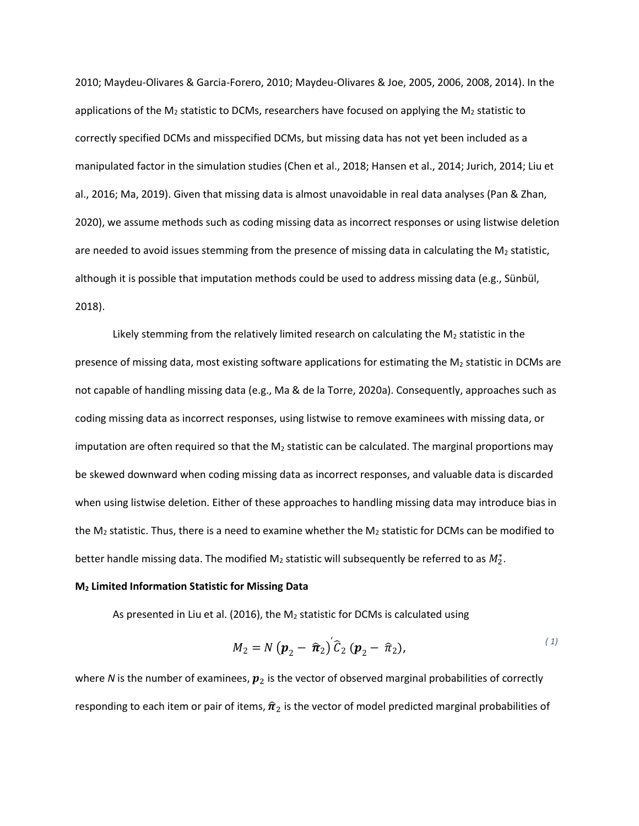2010; Maydeu-Olivares & Garcia-Forero, 2010; Maydeu-Olivares & Joe, 2005, 2006, 2008, 2014). In the applications of the  $M_2$  statistic to DCMs, researchers have focused on applying the  $M_2$  statistic to correctly specified DCMs and misspecified DCMs, but missing data has not yet been included as a manipulated factor in the simulation studies (Chen et al., 2018; Hansen et al., 2014; Jurich, 2014; Liu et al., 2016; Ma, 2019). Given that missing data is almost unavoidable in real data analyses (Pan & Zhan, 2020), we assume methods such as coding missing data as incorrect responses or using listwise deletion are needed to avoid issues stemming from the presence of missing data in calculating the  $M_2$  statistic, although it is possible that imputation methods could be used to address missing data (e.g., Sünbül, 2018).

Likely stemming from the relatively limited research on calculating the  $M_2$  statistic in the presence of missing data, most existing software applications for estimating the  $M_2$  statistic in DCMs are not capable of handling missing data (e.g., Ma & de la Torre, 2020a). Consequently, approaches such as coding missing data as incorrect responses, using listwise to remove examinees with missing data, or imputation are often required so that the  $M_2$  statistic can be calculated. The marginal proportions may be skewed downward when coding missing data as incorrect responses, and valuable data is discarded when using listwise deletion. Either of these approaches to handling missing data may introduce bias in the  $M_2$  statistic. Thus, there is a need to examine whether the  $M_2$  statistic for DCMs can be modified to better handle missing data. The modified M<sub>2</sub> statistic will subsequently be referred to as  $M_2^*$ .

### **M<sup>2</sup> Limited Information Statistic for Missing Data**

As presented in Liu et al. (2016), the  $M_2$  statistic for DCMs is calculated using

$$
M_2 = N\left(\boldsymbol{p}_2 - \boldsymbol{\hat{\pi}}_2\right)^{\prime}\widehat{\boldsymbol{C}}_2\left(\boldsymbol{p}_2 - \boldsymbol{\hat{\pi}}_2\right),\tag{1}
$$

where *N* is the number of examinees,  $p_2$  is the vector of observed marginal probabilities of correctly responding to each item or pair of items,  $\hat{\pi}_2$  is the vector of model predicted marginal probabilities of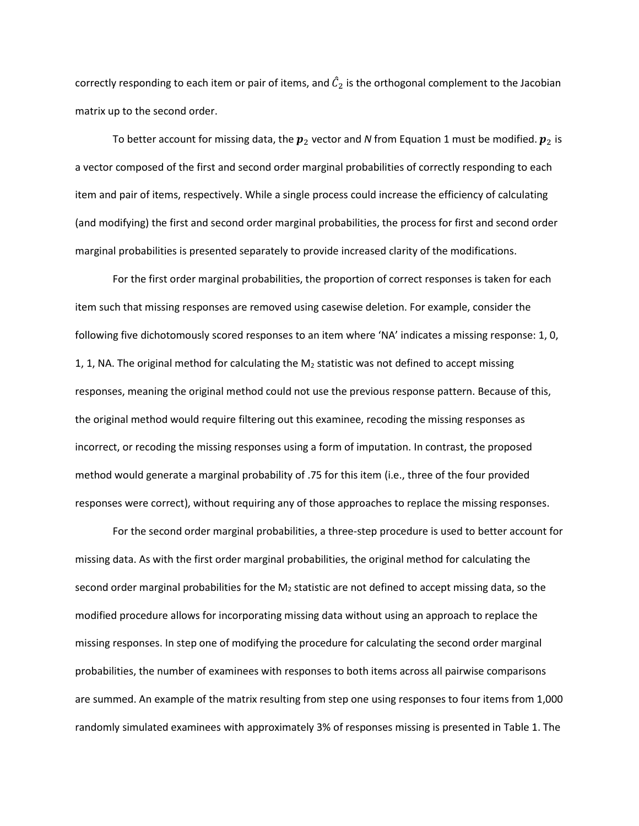correctly responding to each item or pair of items, and  $\hat{\mathcal{C}}_2$  is the orthogonal complement to the Jacobian matrix up to the second order.

To better account for missing data, the  $p_2$  vector and *N* from Equation 1 must be modified.  $p_2$  is a vector composed of the first and second order marginal probabilities of correctly responding to each item and pair of items, respectively. While a single process could increase the efficiency of calculating (and modifying) the first and second order marginal probabilities, the process for first and second order marginal probabilities is presented separately to provide increased clarity of the modifications.

For the first order marginal probabilities, the proportion of correct responses is taken for each item such that missing responses are removed using casewise deletion. For example, consider the following five dichotomously scored responses to an item where 'NA' indicates a missing response: 1, 0, 1, 1, NA. The original method for calculating the  $M_2$  statistic was not defined to accept missing responses, meaning the original method could not use the previous response pattern. Because of this, the original method would require filtering out this examinee, recoding the missing responses as incorrect, or recoding the missing responses using a form of imputation. In contrast, the proposed method would generate a marginal probability of .75 for this item (i.e., three of the four provided responses were correct), without requiring any of those approaches to replace the missing responses.

For the second order marginal probabilities, a three-step procedure is used to better account for missing data. As with the first order marginal probabilities, the original method for calculating the second order marginal probabilities for the  $M_2$  statistic are not defined to accept missing data, so the modified procedure allows for incorporating missing data without using an approach to replace the missing responses. In step one of modifying the procedure for calculating the second order marginal probabilities, the number of examinees with responses to both items across all pairwise comparisons are summed. An example of the matrix resulting from step one using responses to four items from 1,000 randomly simulated examinees with approximately 3% of responses missing is presented in Table 1. The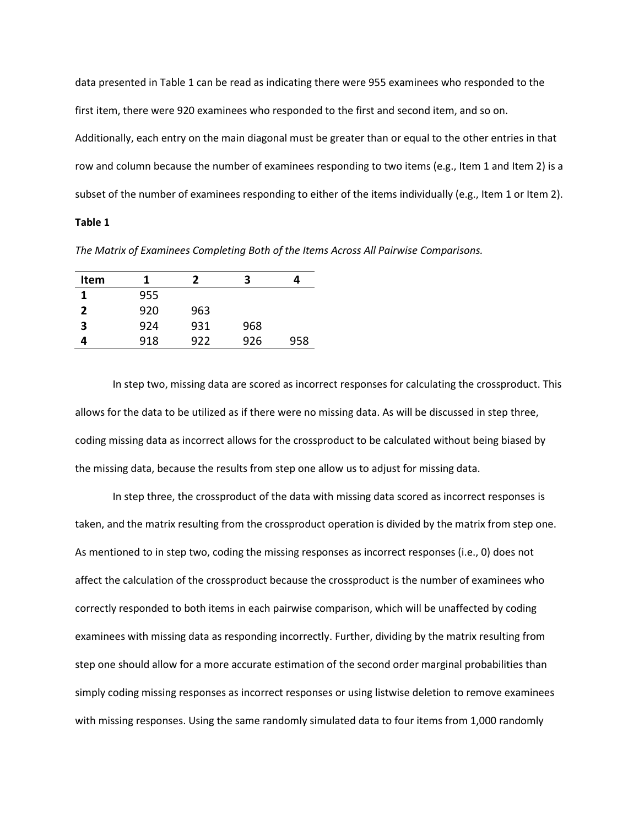data presented in Table 1 can be read as indicating there were 955 examinees who responded to the first item, there were 920 examinees who responded to the first and second item, and so on. Additionally, each entry on the main diagonal must be greater than or equal to the other entries in that row and column because the number of examinees responding to two items (e.g., Item 1 and Item 2) is a subset of the number of examinees responding to either of the items individually (e.g., Item 1 or Item 2).

## **Table 1**

*The Matrix of Examinees Completing Both of the Items Across All Pairwise Comparisons.*

| Item |     |     |     |     |
|------|-----|-----|-----|-----|
| 1    | 955 |     |     |     |
| 2    | 920 | 963 |     |     |
| 3    | 924 | 931 | 968 |     |
|      | 918 | 922 | 926 | 958 |

In step two, missing data are scored as incorrect responses for calculating the crossproduct. This allows for the data to be utilized as if there were no missing data. As will be discussed in step three, coding missing data as incorrect allows for the crossproduct to be calculated without being biased by the missing data, because the results from step one allow us to adjust for missing data.

In step three, the crossproduct of the data with missing data scored as incorrect responses is taken, and the matrix resulting from the crossproduct operation is divided by the matrix from step one. As mentioned to in step two, coding the missing responses as incorrect responses (i.e., 0) does not affect the calculation of the crossproduct because the crossproduct is the number of examinees who correctly responded to both items in each pairwise comparison, which will be unaffected by coding examinees with missing data as responding incorrectly. Further, dividing by the matrix resulting from step one should allow for a more accurate estimation of the second order marginal probabilities than simply coding missing responses as incorrect responses or using listwise deletion to remove examinees with missing responses. Using the same randomly simulated data to four items from 1,000 randomly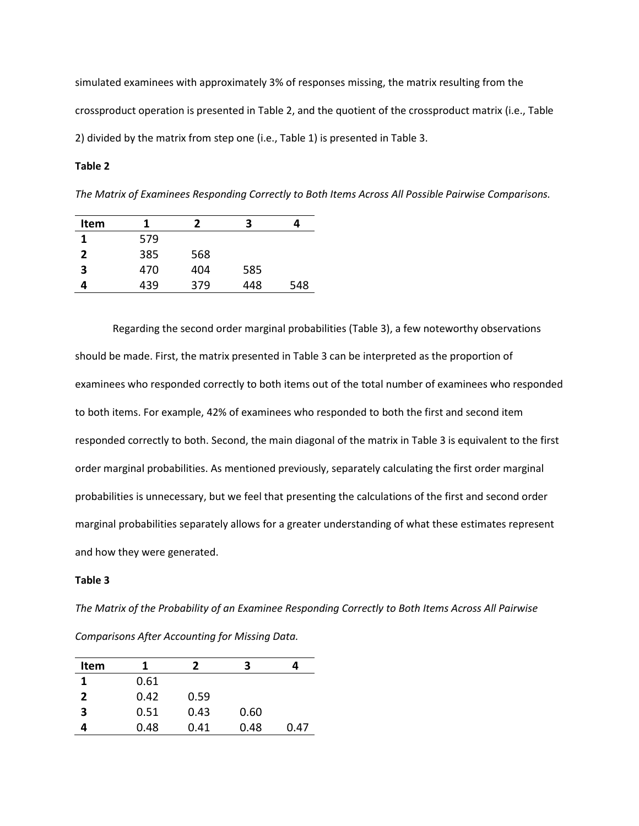simulated examinees with approximately 3% of responses missing, the matrix resulting from the crossproduct operation is presented in Table 2, and the quotient of the crossproduct matrix (i.e., Table 2) divided by the matrix from step one (i.e., Table 1) is presented in Table 3.

## **Table 2**

*The Matrix of Examinees Responding Correctly to Both Items Across All Possible Pairwise Comparisons.*

| <b>Item</b> |     | 2   | 3   |     |
|-------------|-----|-----|-----|-----|
| 1           | 579 |     |     |     |
| 2           | 385 | 568 |     |     |
| 3           | 470 | 404 | 585 |     |
|             | 439 | 379 | 448 | 548 |

Regarding the second order marginal probabilities (Table 3), a few noteworthy observations should be made. First, the matrix presented in Table 3 can be interpreted as the proportion of examinees who responded correctly to both items out of the total number of examinees who responded to both items. For example, 42% of examinees who responded to both the first and second item responded correctly to both. Second, the main diagonal of the matrix in Table 3 is equivalent to the first order marginal probabilities. As mentioned previously, separately calculating the first order marginal probabilities is unnecessary, but we feel that presenting the calculations of the first and second order marginal probabilities separately allows for a greater understanding of what these estimates represent and how they were generated.

#### **Table 3**

*The Matrix of the Probability of an Examinee Responding Correctly to Both Items Across All Pairwise Comparisons After Accounting for Missing Data.*

| Item           | 1    | 7    | 3    |      |
|----------------|------|------|------|------|
|                | 0.61 |      |      |      |
| $\overline{2}$ | 0.42 | 0.59 |      |      |
| 3              | 0.51 | 0.43 | 0.60 |      |
|                | 0.48 | 0.41 | 0.48 | 0.47 |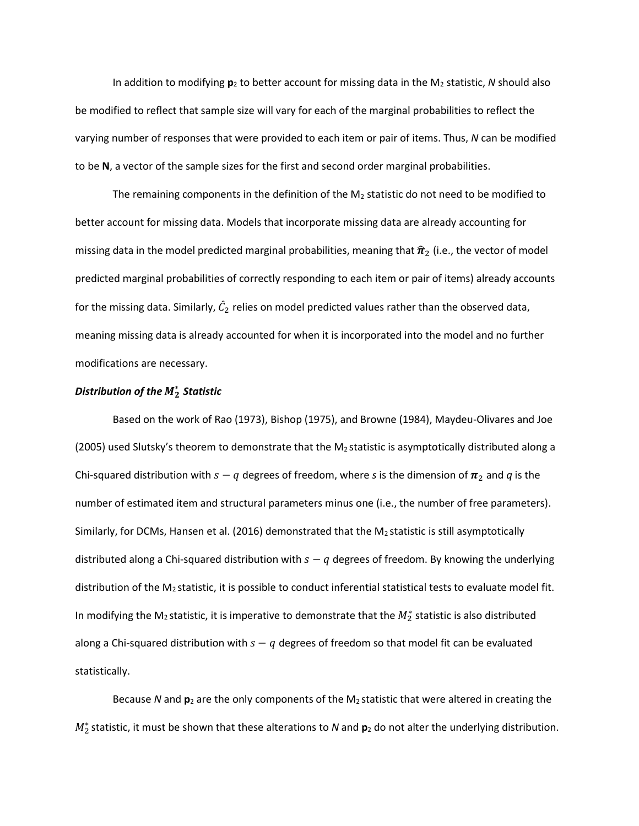In addition to modifying **p**2 to better account for missing data in the M2 statistic, *N* should also be modified to reflect that sample size will vary for each of the marginal probabilities to reflect the varying number of responses that were provided to each item or pair of items. Thus, *N* can be modified to be **N**, a vector of the sample sizes for the first and second order marginal probabilities.

The remaining components in the definition of the  $M_2$  statistic do not need to be modified to better account for missing data. Models that incorporate missing data are already accounting for missing data in the model predicted marginal probabilities, meaning that  $\hat{\pi}_2$  (i.e., the vector of model predicted marginal probabilities of correctly responding to each item or pair of items) already accounts for the missing data. Similarly,  $\hat{\mathcal{C}}_2$  relies on model predicted values rather than the observed data, meaning missing data is already accounted for when it is incorporated into the model and no further modifications are necessary.

# *Distribution of the*  ∗ *Statistic*

Based on the work of Rao (1973), Bishop (1975), and Browne (1984), Maydeu-Olivares and Joe (2005) used Slutsky's theorem to demonstrate that the M<sub>2</sub> statistic is asymptotically distributed along a Chi-squared distribution with  $s - q$  degrees of freedom, where *s* is the dimension of  $\pi_2$  and *q* is the number of estimated item and structural parameters minus one (i.e., the number of free parameters). Similarly, for DCMs, Hansen et al. (2016) demonstrated that the  $M<sub>2</sub>$  statistic is still asymptotically distributed along a Chi-squared distribution with  $s - q$  degrees of freedom. By knowing the underlying distribution of the M2 statistic, it is possible to conduct inferential statistical tests to evaluate model fit. In modifying the M<sub>2</sub> statistic, it is imperative to demonstrate that the  $M_2^*$  statistic is also distributed along a Chi-squared distribution with  $s - q$  degrees of freedom so that model fit can be evaluated statistically.

Because *N* and **p**<sup>2</sup> are the only components of the M2 statistic that were altered in creating the  $M_2^*$  statistic, it must be shown that these alterations to *N* and **p**<sub>2</sub> do not alter the underlying distribution.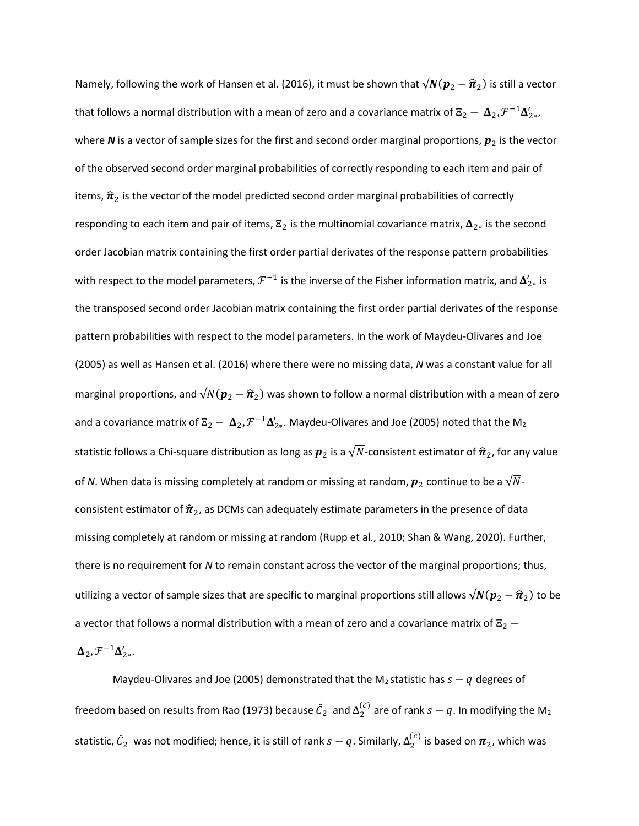Namely, following the work of Hansen et al. (2016), it must be shown that  $\sqrt{N}({\bm p}_2 - {\widehat{\bm n}}_2)$  is still a vector that follows a normal distribution with a mean of zero and a covariance matrix of  $\Xi_2-\ \pmb{\Delta}_{2*}\mathcal F^{-1}\pmb{\Delta}'_{2*}$ , where N is a vector of sample sizes for the first and second order marginal proportions,  $p_2$  is the vector of the observed second order marginal probabilities of correctly responding to each item and pair of items,  $\hat{\pi}_2$  is the vector of the model predicted second order marginal probabilities of correctly responding to each item and pair of items,  $\mathbf{E}_2$  is the multinomial covariance matrix,  $\mathbf{\Delta}_{2*}$  is the second order Jacobian matrix containing the first order partial derivates of the response pattern probabilities with respect to the model parameters,  $\mathcal{F}^{-1}$  is the inverse of the Fisher information matrix, and  $\pmb{\Delta}_{2*}'$  is the transposed second order Jacobian matrix containing the first order partial derivates of the response pattern probabilities with respect to the model parameters. In the work of Maydeu-Olivares and Joe (2005) as well as Hansen et al. (2016) where there were no missing data, *N* was a constant value for all marginal proportions, and  $\sqrt{N}(\bm{p}_2-\bm{\widehat{\pi}}_2)$  was shown to follow a normal distribution with a mean of zero and a covariance matrix of  $\Xi_2-\Delta_{2*} \mathcal{F}^{-1}\Delta_{2*}'$ . Maydeu-Olivares and Joe (2005) noted that the M<sub>2</sub> statistic follows a Chi-square distribution as long as  $p_2$  is a  $\sqrt{N}$ -consistent estimator of  $\hat{\pi}_2$ , for any value of *N*. When data is missing completely at random or missing at random,  $p_2$  continue to be a  $\sqrt{N}$ consistent estimator of  $\hat{\pi}_2$ , as DCMs can adequately estimate parameters in the presence of data missing completely at random or missing at random (Rupp et al., 2010; Shan & Wang, 2020). Further, there is no requirement for *N* to remain constant across the vector of the marginal proportions; thus, utilizing a vector of sample sizes that are specific to marginal proportions still allows  $\sqrt{N}({\bm p}_2 - \widehat{\bm \pi}_2)$  to be a vector that follows a normal distribution with a mean of zero and a covariance matrix of  $\mathbb{E}_2$  −

 $\Delta_{2*}\mathcal{F}^{-1}\Delta'_{2*}.$ 

Maydeu-Olivares and Joe (2005) demonstrated that the M<sub>2</sub> statistic has  $s - q$  degrees of freedom based on results from Rao (1973) because  $\hat{\mathcal{C}}_2\;$  and  $\Delta^{(c)}_2$  are of rank  $s-q.$  In modifying the M $_2$ statistic,  $\hat{\mathcal{C}}_2$  was not modified; hence, it is still of rank  $s-q.$  Similarly,  $\Delta_2^{(c)}$  is based on  $\bm{\pi}_2$ , which was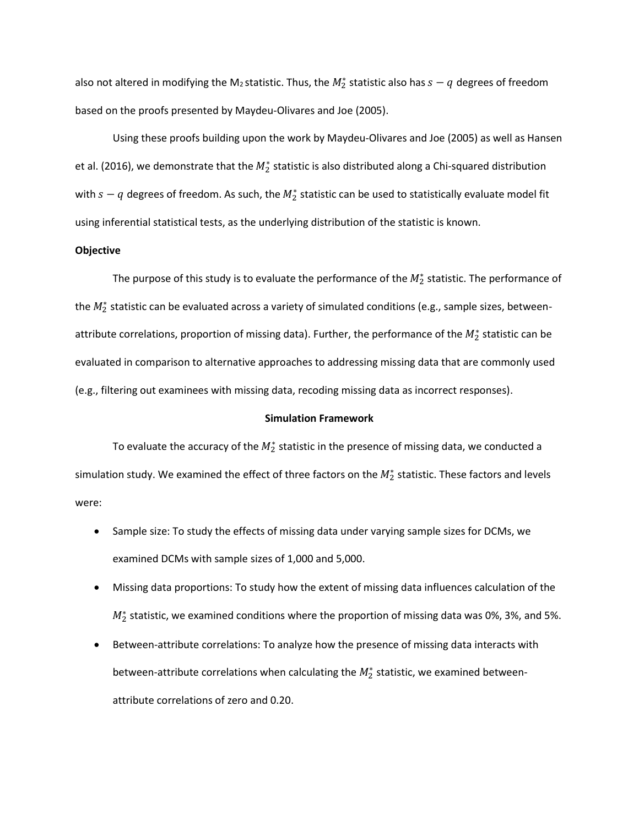also not altered in modifying the M2 statistic. Thus, the  $M_2^*$  statistic also has  $s-q$  degrees of freedom based on the proofs presented by Maydeu-Olivares and Joe (2005).

Using these proofs building upon the work by Maydeu-Olivares and Joe (2005) as well as Hansen et al. (2016), we demonstrate that the  $M_2^*$  statistic is also distributed along a Chi-squared distribution with  $s-q$  degrees of freedom. As such, the  $M_2^*$  statistic can be used to statistically evaluate model fit using inferential statistical tests, as the underlying distribution of the statistic is known.

#### **Objective**

The purpose of this study is to evaluate the performance of the  $M_2^*$  statistic. The performance of the  $M_2^*$  statistic can be evaluated across a variety of simulated conditions (e.g., sample sizes, betweenattribute correlations, proportion of missing data). Further, the performance of the  $M^*_2$  statistic can be evaluated in comparison to alternative approaches to addressing missing data that are commonly used (e.g., filtering out examinees with missing data, recoding missing data as incorrect responses).

### **Simulation Framework**

To evaluate the accuracy of the  $M_2^*$  statistic in the presence of missing data, we conducted a simulation study. We examined the effect of three factors on the  $M_2^*$  statistic. These factors and levels were:

- Sample size: To study the effects of missing data under varying sample sizes for DCMs, we examined DCMs with sample sizes of 1,000 and 5,000.
- Missing data proportions: To study how the extent of missing data influences calculation of the  $M_2^*$  statistic, we examined conditions where the proportion of missing data was 0%, 3%, and 5%.
- Between-attribute correlations: To analyze how the presence of missing data interacts with between-attribute correlations when calculating the  $M_2^*$  statistic, we examined betweenattribute correlations of zero and 0.20.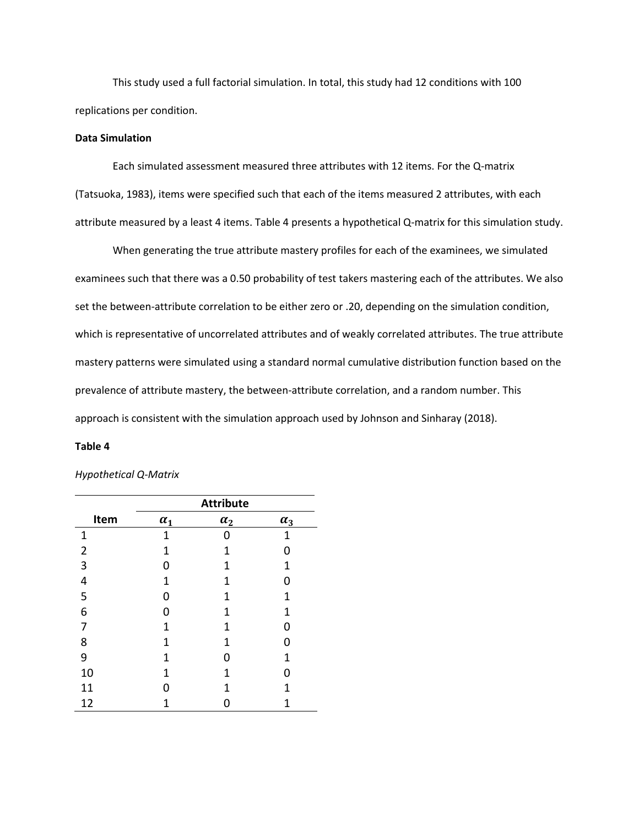This study used a full factorial simulation. In total, this study had 12 conditions with 100 replications per condition.

## **Data Simulation**

Each simulated assessment measured three attributes with 12 items. For the Q-matrix (Tatsuoka, 1983), items were specified such that each of the items measured 2 attributes, with each attribute measured by a least 4 items. Table 4 presents a hypothetical Q-matrix for this simulation study.

When generating the true attribute mastery profiles for each of the examinees, we simulated examinees such that there was a 0.50 probability of test takers mastering each of the attributes. We also set the between-attribute correlation to be either zero or .20, depending on the simulation condition, which is representative of uncorrelated attributes and of weakly correlated attributes. The true attribute mastery patterns were simulated using a standard normal cumulative distribution function based on the prevalence of attribute mastery, the between-attribute correlation, and a random number. This approach is consistent with the simulation approach used by Johnson and Sinharay (2018).

#### **Table 4**

#### *Hypothetical Q-Matrix*

|                | <b>Attribute</b> |            |            |  |  |  |  |
|----------------|------------------|------------|------------|--|--|--|--|
| Item           | $\alpha_1$       | $\alpha_2$ | $\alpha_3$ |  |  |  |  |
| $\mathbf 1$    | 1                |            | 1          |  |  |  |  |
| $\overline{2}$ | 1                | 1          | ი          |  |  |  |  |
| 3              | ი                | 1          | 1          |  |  |  |  |
| 4              | 1                | 1          | ი          |  |  |  |  |
| 5              | ი                | 1          | 1          |  |  |  |  |
| 6              | ი                | 1          | 1          |  |  |  |  |
| 7              | 1                | 1          | 0          |  |  |  |  |
| 8              | 1                | 1          |            |  |  |  |  |
| 9              | 1                | ი          | 1          |  |  |  |  |
| 10             | 1                | 1          | O          |  |  |  |  |
| 11             | Ω                | 1          | 1          |  |  |  |  |
| 12             | 1                |            | 1          |  |  |  |  |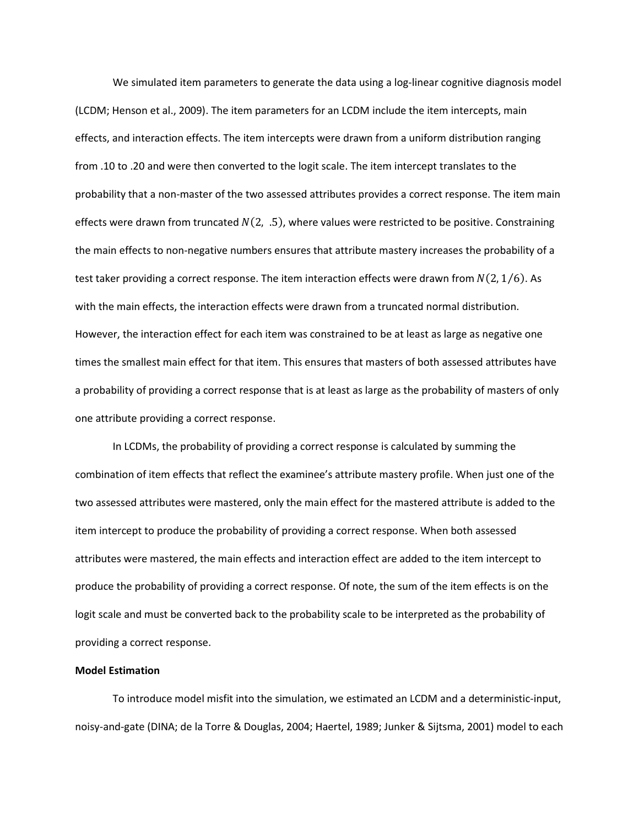We simulated item parameters to generate the data using a log-linear cognitive diagnosis model (LCDM; Henson et al., 2009). The item parameters for an LCDM include the item intercepts, main effects, and interaction effects. The item intercepts were drawn from a uniform distribution ranging from .10 to .20 and were then converted to the logit scale. The item intercept translates to the probability that a non-master of the two assessed attributes provides a correct response. The item main effects were drawn from truncated  $N(2, .5)$ , where values were restricted to be positive. Constraining the main effects to non-negative numbers ensures that attribute mastery increases the probability of a test taker providing a correct response. The item interaction effects were drawn from  $N(2, 1/6)$ . As with the main effects, the interaction effects were drawn from a truncated normal distribution. However, the interaction effect for each item was constrained to be at least as large as negative one times the smallest main effect for that item. This ensures that masters of both assessed attributes have a probability of providing a correct response that is at least as large as the probability of masters of only one attribute providing a correct response.

In LCDMs, the probability of providing a correct response is calculated by summing the combination of item effects that reflect the examinee's attribute mastery profile. When just one of the two assessed attributes were mastered, only the main effect for the mastered attribute is added to the item intercept to produce the probability of providing a correct response. When both assessed attributes were mastered, the main effects and interaction effect are added to the item intercept to produce the probability of providing a correct response. Of note, the sum of the item effects is on the logit scale and must be converted back to the probability scale to be interpreted as the probability of providing a correct response.

## **Model Estimation**

To introduce model misfit into the simulation, we estimated an LCDM and a deterministic-input, noisy-and-gate (DINA; de la Torre & Douglas, 2004; Haertel, 1989; Junker & Sijtsma, 2001) model to each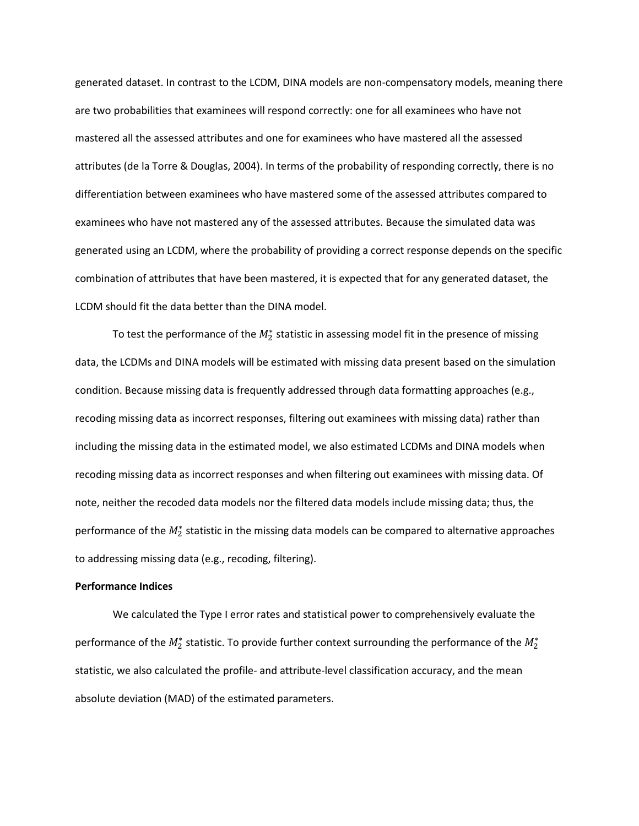generated dataset. In contrast to the LCDM, DINA models are non-compensatory models, meaning there are two probabilities that examinees will respond correctly: one for all examinees who have not mastered all the assessed attributes and one for examinees who have mastered all the assessed attributes (de la Torre & Douglas, 2004). In terms of the probability of responding correctly, there is no differentiation between examinees who have mastered some of the assessed attributes compared to examinees who have not mastered any of the assessed attributes. Because the simulated data was generated using an LCDM, where the probability of providing a correct response depends on the specific combination of attributes that have been mastered, it is expected that for any generated dataset, the LCDM should fit the data better than the DINA model.

To test the performance of the  $M_2^*$  statistic in assessing model fit in the presence of missing data, the LCDMs and DINA models will be estimated with missing data present based on the simulation condition. Because missing data is frequently addressed through data formatting approaches (e.g., recoding missing data as incorrect responses, filtering out examinees with missing data) rather than including the missing data in the estimated model, we also estimated LCDMs and DINA models when recoding missing data as incorrect responses and when filtering out examinees with missing data. Of note, neither the recoded data models nor the filtered data models include missing data; thus, the performance of the  $M_2^*$  statistic in the missing data models can be compared to alternative approaches to addressing missing data (e.g., recoding, filtering).

## **Performance Indices**

We calculated the Type I error rates and statistical power to comprehensively evaluate the performance of the  $M_2^*$  statistic. To provide further context surrounding the performance of the  $M_2^*$ statistic, we also calculated the profile- and attribute-level classification accuracy, and the mean absolute deviation (MAD) of the estimated parameters.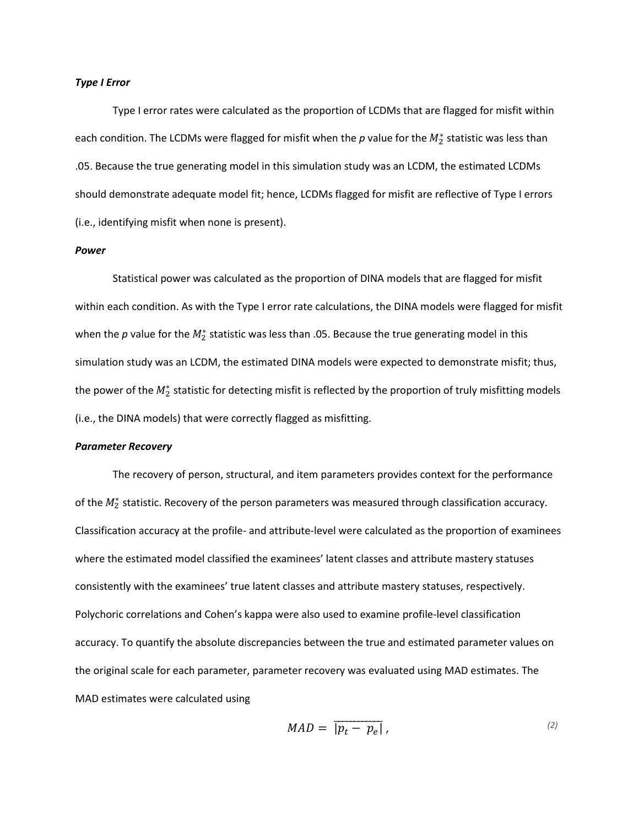#### *Type I Error*

Type I error rates were calculated as the proportion of LCDMs that are flagged for misfit within each condition. The LCDMs were flagged for misfit when the  $p$  value for the  $M_2^*$  statistic was less than .05. Because the true generating model in this simulation study was an LCDM, the estimated LCDMs should demonstrate adequate model fit; hence, LCDMs flagged for misfit are reflective of Type I errors (i.e., identifying misfit when none is present).

#### *Power*

Statistical power was calculated as the proportion of DINA models that are flagged for misfit within each condition. As with the Type I error rate calculations, the DINA models were flagged for misfit when the  $p$  value for the  $M^*_2$  statistic was less than .05. Because the true generating model in this simulation study was an LCDM, the estimated DINA models were expected to demonstrate misfit; thus, the power of the  $M_2^*$  statistic for detecting misfit is reflected by the proportion of truly misfitting models (i.e., the DINA models) that were correctly flagged as misfitting.

### *Parameter Recovery*

The recovery of person, structural, and item parameters provides context for the performance of the  $M_2^*$  statistic. Recovery of the person parameters was measured through classification accuracy. Classification accuracy at the profile- and attribute-level were calculated as the proportion of examinees where the estimated model classified the examinees' latent classes and attribute mastery statuses consistently with the examinees' true latent classes and attribute mastery statuses, respectively. Polychoric correlations and Cohen's kappa were also used to examine profile-level classification accuracy. To quantify the absolute discrepancies between the true and estimated parameter values on the original scale for each parameter, parameter recovery was evaluated using MAD estimates. The MAD estimates were calculated using

$$
MAD = |\overline{p_t - p_e}|, \qquad (2)
$$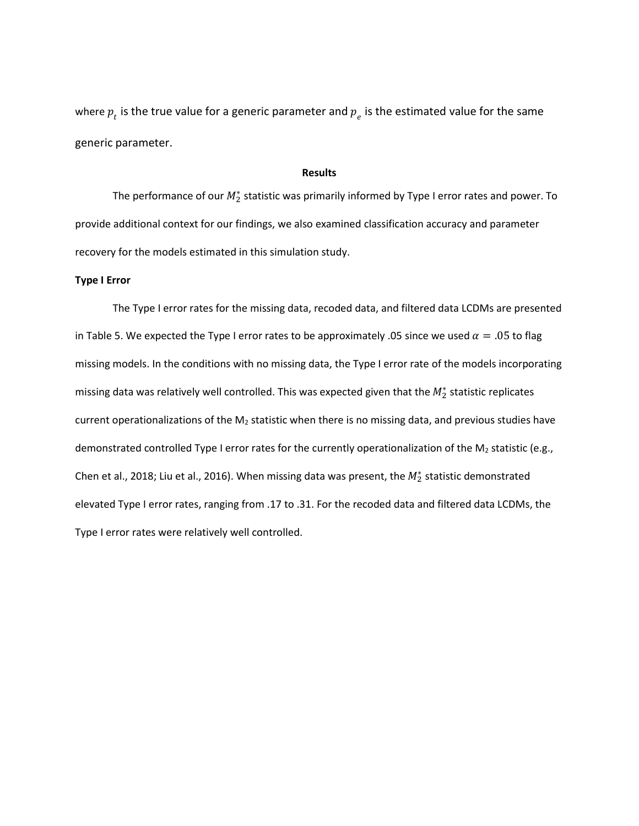where  $p_{_t}$  is the true value for a generic parameter and  $p_{_e}$  is the estimated value for the same generic parameter.

## **Results**

The performance of our  $M_2^*$  statistic was primarily informed by Type I error rates and power. To provide additional context for our findings, we also examined classification accuracy and parameter recovery for the models estimated in this simulation study.

## **Type I Error**

The Type I error rates for the missing data, recoded data, and filtered data LCDMs are presented in Table 5. We expected the Type I error rates to be approximately .05 since we used  $\alpha = .05$  to flag missing models. In the conditions with no missing data, the Type I error rate of the models incorporating missing data was relatively well controlled. This was expected given that the  $M_2^*$  statistic replicates current operationalizations of the  $M_2$  statistic when there is no missing data, and previous studies have demonstrated controlled Type I error rates for the currently operationalization of the  $M_2$  statistic (e.g., Chen et al., 2018; Liu et al., 2016). When missing data was present, the  $M_2^*$  statistic demonstrated elevated Type I error rates, ranging from .17 to .31. For the recoded data and filtered data LCDMs, the Type I error rates were relatively well controlled.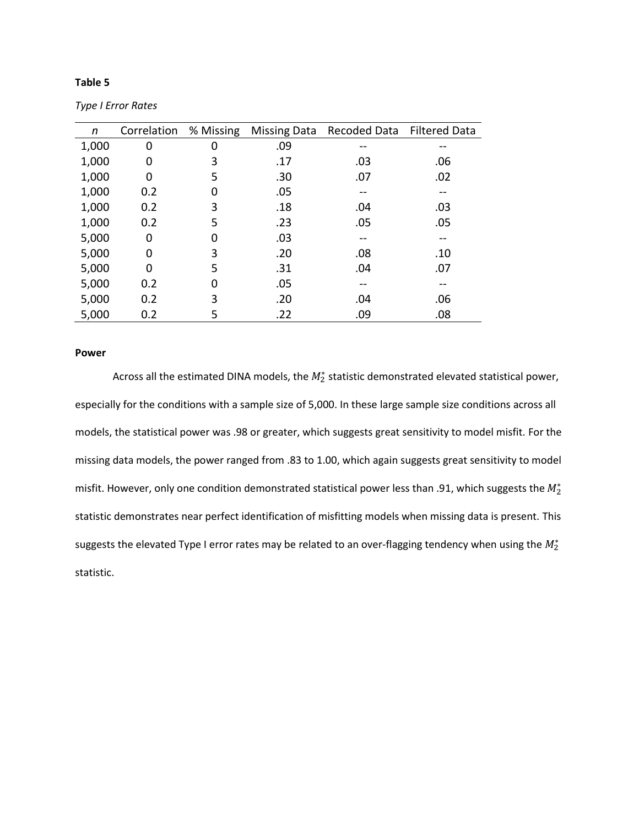## **Table 5**

| n     | Correlation | % Missing |     | Missing Data Recoded Data Filtered Data |     |
|-------|-------------|-----------|-----|-----------------------------------------|-----|
| 1,000 | 0           | 0         | .09 |                                         |     |
| 1,000 | 0           | 3         | .17 | .03                                     | .06 |
| 1,000 | 0           | 5         | .30 | .07                                     | .02 |
| 1,000 | 0.2         | 0         | .05 |                                         |     |
| 1,000 | 0.2         | 3         | .18 | .04                                     | .03 |
| 1,000 | 0.2         | 5         | .23 | .05                                     | .05 |
| 5,000 | 0           | 0         | .03 |                                         |     |
| 5,000 | 0           | 3         | .20 | .08                                     | .10 |
| 5,000 | 0           | 5         | .31 | .04                                     | .07 |
| 5,000 | 0.2         | 0         | .05 |                                         |     |
| 5,000 | 0.2         | 3         | .20 | .04                                     | .06 |
| 5,000 | 0.2         | 5         | .22 | .09                                     | .08 |

*Type I Error Rates*

## **Power**

Across all the estimated DINA models, the  $M_2^*$  statistic demonstrated elevated statistical power, especially for the conditions with a sample size of 5,000. In these large sample size conditions across all models, the statistical power was .98 or greater, which suggests great sensitivity to model misfit. For the missing data models, the power ranged from .83 to 1.00, which again suggests great sensitivity to model misfit. However, only one condition demonstrated statistical power less than .91, which suggests the  $M^*_2$ statistic demonstrates near perfect identification of misfitting models when missing data is present. This suggests the elevated Type I error rates may be related to an over-flagging tendency when using the  $M^*_2$ statistic.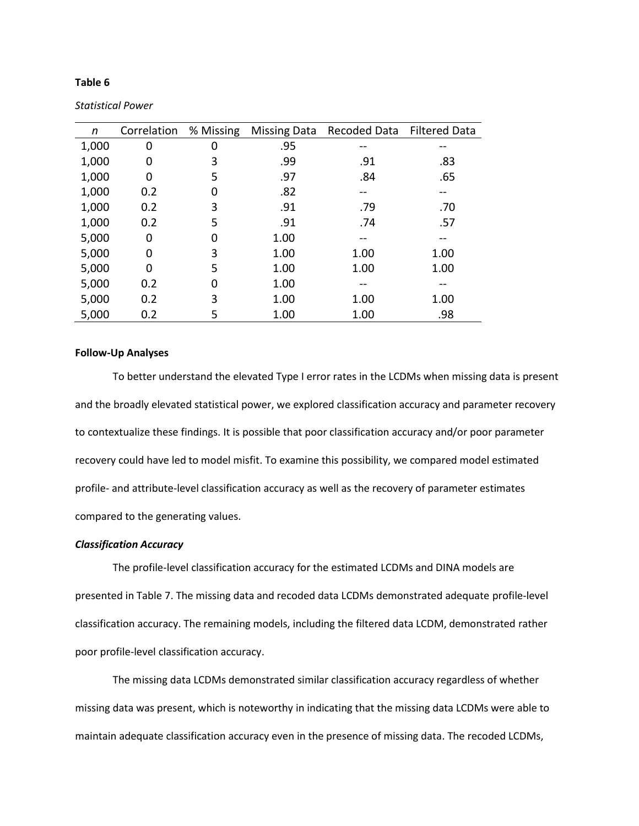## **Table 6**

| n     | Correlation | % Missing |      | Missing Data Recoded Data Filtered Data |      |
|-------|-------------|-----------|------|-----------------------------------------|------|
| 1,000 | 0           | 0         | .95  | --                                      |      |
| 1,000 | 0           | 3         | .99  | .91                                     | .83  |
| 1,000 | 0           | 5         | .97  | .84                                     | .65  |
| 1,000 | 0.2         | 0         | .82  | --                                      | --   |
| 1,000 | 0.2         | 3         | .91  | .79                                     | .70  |
| 1,000 | 0.2         | 5         | .91  | .74                                     | .57  |
| 5,000 | 0           | 0         | 1.00 |                                         |      |
| 5,000 | 0           | 3         | 1.00 | 1.00                                    | 1.00 |
| 5,000 | 0           | 5         | 1.00 | 1.00                                    | 1.00 |
| 5,000 | 0.2         | 0         | 1.00 |                                         |      |
| 5,000 | 0.2         | 3         | 1.00 | 1.00                                    | 1.00 |
| 5,000 | 0.2         | 5         | 1.00 | 1.00                                    | .98  |

*Statistical Power*

## **Follow-Up Analyses**

To better understand the elevated Type I error rates in the LCDMs when missing data is present and the broadly elevated statistical power, we explored classification accuracy and parameter recovery to contextualize these findings. It is possible that poor classification accuracy and/or poor parameter recovery could have led to model misfit. To examine this possibility, we compared model estimated profile- and attribute-level classification accuracy as well as the recovery of parameter estimates compared to the generating values.

## *Classification Accuracy*

The profile-level classification accuracy for the estimated LCDMs and DINA models are presented in Table 7. The missing data and recoded data LCDMs demonstrated adequate profile-level classification accuracy. The remaining models, including the filtered data LCDM, demonstrated rather poor profile-level classification accuracy.

The missing data LCDMs demonstrated similar classification accuracy regardless of whether missing data was present, which is noteworthy in indicating that the missing data LCDMs were able to maintain adequate classification accuracy even in the presence of missing data. The recoded LCDMs,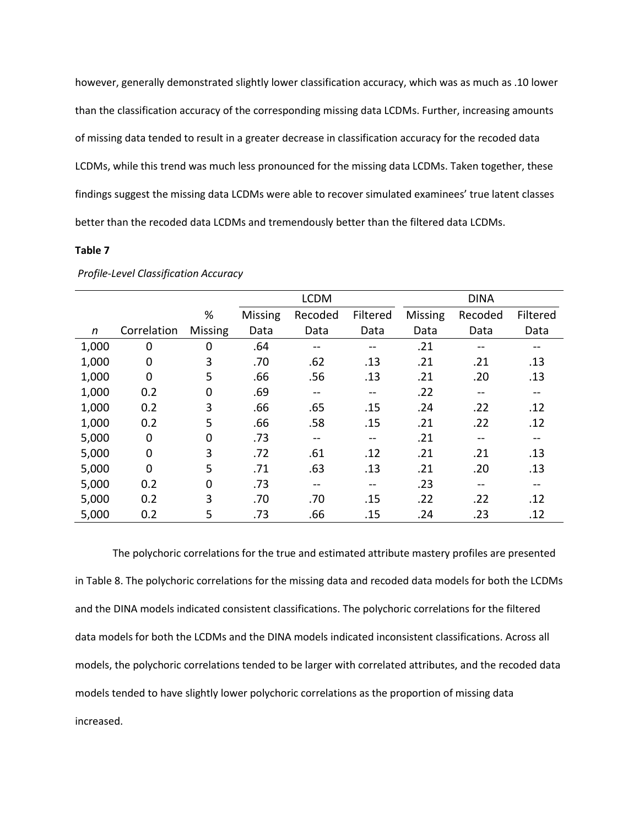however, generally demonstrated slightly lower classification accuracy, which was as much as .10 lower than the classification accuracy of the corresponding missing data LCDMs. Further, increasing amounts of missing data tended to result in a greater decrease in classification accuracy for the recoded data LCDMs, while this trend was much less pronounced for the missing data LCDMs. Taken together, these findings suggest the missing data LCDMs were able to recover simulated examinees' true latent classes better than the recoded data LCDMs and tremendously better than the filtered data LCDMs.

### **Table 7**

|       |             |                | <b>LCDM</b>    |                   |                   | <b>DINA</b> |                   |                   |
|-------|-------------|----------------|----------------|-------------------|-------------------|-------------|-------------------|-------------------|
|       |             | %              | <b>Missing</b> | Recoded           | Filtered          | Missing     | Recoded           | Filtered          |
| n     | Correlation | <b>Missing</b> | Data           | Data              | Data              | Data        | Data              | Data              |
| 1,000 | $\mathbf 0$ | 0              | .64            | $- -$             | $\qquad \qquad -$ | .21         | --                | --                |
| 1,000 | $\mathbf 0$ | 3              | .70            | .62               | .13               | .21         | .21               | .13               |
| 1,000 | $\mathbf 0$ | 5              | .66            | .56               | .13               | .21         | .20               | .13               |
| 1,000 | 0.2         | 0              | .69            | $\qquad \qquad -$ | $\qquad \qquad -$ | .22         | $\qquad \qquad -$ | $\qquad \qquad -$ |
| 1,000 | 0.2         | 3              | .66            | .65               | .15               | .24         | .22               | .12               |
| 1,000 | 0.2         | 5              | .66            | .58               | .15               | .21         | .22               | .12               |
| 5,000 | 0           | 0              | .73            | $\qquad \qquad -$ | $\qquad \qquad -$ | .21         | $\qquad \qquad -$ | $- -$             |
| 5,000 | $\mathbf 0$ | 3              | .72            | .61               | .12               | .21         | .21               | .13               |
| 5,000 | $\mathbf 0$ | 5              | .71            | .63               | .13               | .21         | .20               | .13               |
| 5,000 | 0.2         | 0              | .73            | $- -$             | $-$               | .23         | $- -$             | $- -$             |
| 5,000 | 0.2         | 3              | .70            | .70               | .15               | .22         | .22               | .12               |
| 5,000 | 0.2         | 5              | .73            | .66               | .15               | .24         | .23               | .12               |

*Profile-Level Classification Accuracy*

The polychoric correlations for the true and estimated attribute mastery profiles are presented in Table 8. The polychoric correlations for the missing data and recoded data models for both the LCDMs and the DINA models indicated consistent classifications. The polychoric correlations for the filtered data models for both the LCDMs and the DINA models indicated inconsistent classifications. Across all models, the polychoric correlations tended to be larger with correlated attributes, and the recoded data models tended to have slightly lower polychoric correlations as the proportion of missing data increased.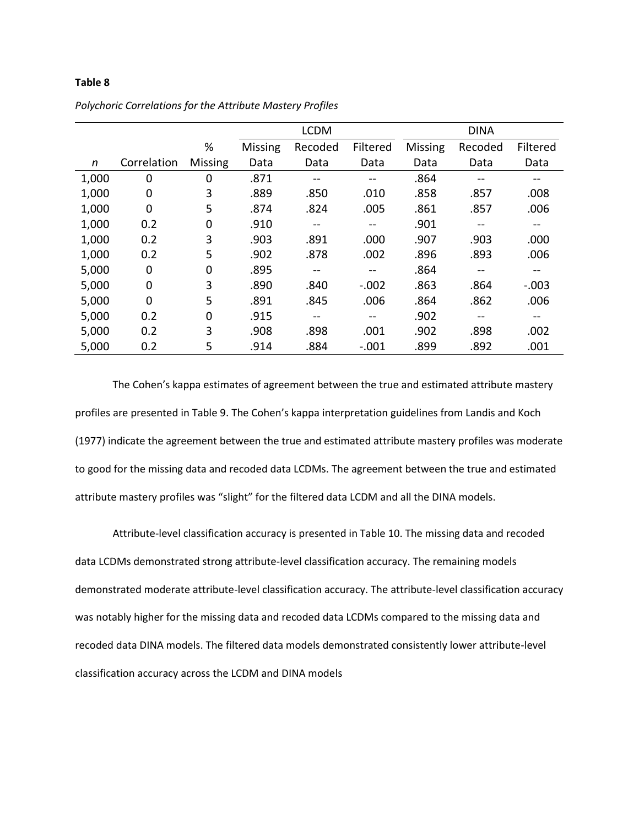## **Table 8**

|       |                |                |                | <b>LCDM</b> |                          |                | <b>DINA</b> |                   |
|-------|----------------|----------------|----------------|-------------|--------------------------|----------------|-------------|-------------------|
|       |                | %              | <b>Missing</b> | Recoded     | Filtered                 | <b>Missing</b> | Recoded     | Filtered          |
| n     | Correlation    | <b>Missing</b> | Data           | Data        | Data                     | Data           | Data        | Data              |
| 1,000 | 0              | 0              | .871           |             |                          | .864           |             |                   |
| 1,000 | 0              | 3              | .889           | .850        | .010                     | .858           | .857        | .008              |
| 1,000 | $\overline{0}$ | 5              | .874           | .824        | .005                     | .861           | .857        | .006              |
| 1,000 | 0.2            | 0              | .910           |             | $- -$                    | .901           | --          | --                |
| 1,000 | 0.2            | 3              | .903           | .891        | .000                     | .907           | .903        | .000              |
| 1,000 | 0.2            | 5              | .902           | .878        | .002                     | .896           | .893        | .006              |
| 5,000 | 0              | 0              | .895           |             | $- -$                    | .864           | --          | --                |
| 5,000 | $\Omega$       | 3              | .890           | .840        | $-.002$                  | .863           | .864        | $-.003$           |
| 5,000 | $\overline{0}$ | 5              | .891           | .845        | .006                     | .864           | .862        | .006              |
| 5,000 | 0.2            | 0              | .915           | $- -$       | $\overline{\phantom{m}}$ | .902           | $- -$       | $\qquad \qquad -$ |
| 5,000 | 0.2            | 3              | .908           | .898        | .001                     | .902           | .898        | .002              |
| 5,000 | 0.2            | 5              | .914           | .884        | $-.001$                  | .899           | .892        | .001              |

*Polychoric Correlations for the Attribute Mastery Profiles*

The Cohen's kappa estimates of agreement between the true and estimated attribute mastery profiles are presented in Table 9. The Cohen's kappa interpretation guidelines from Landis and Koch (1977) indicate the agreement between the true and estimated attribute mastery profiles was moderate to good for the missing data and recoded data LCDMs. The agreement between the true and estimated attribute mastery profiles was "slight" for the filtered data LCDM and all the DINA models.

Attribute-level classification accuracy is presented in Table 10. The missing data and recoded data LCDMs demonstrated strong attribute-level classification accuracy. The remaining models demonstrated moderate attribute-level classification accuracy. The attribute-level classification accuracy was notably higher for the missing data and recoded data LCDMs compared to the missing data and recoded data DINA models. The filtered data models demonstrated consistently lower attribute-level classification accuracy across the LCDM and DINA models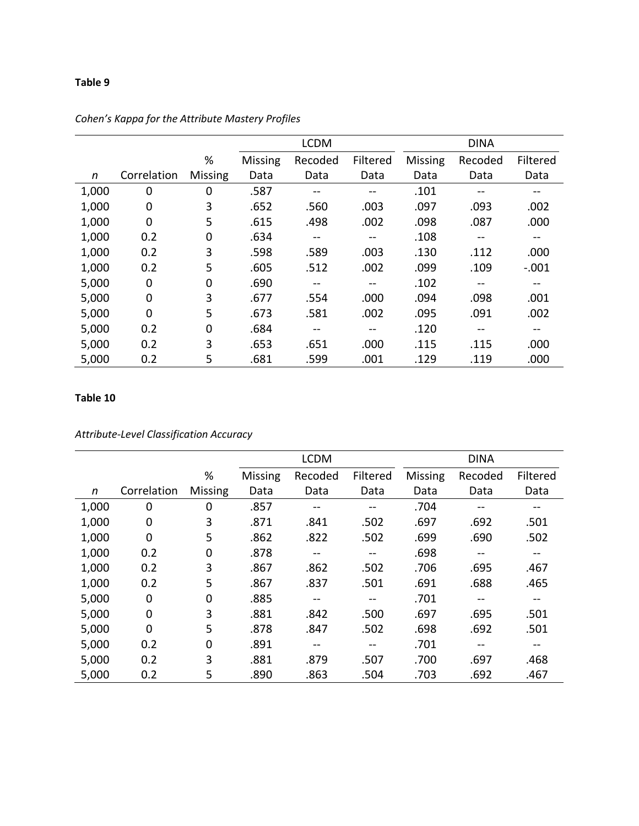## **Table 9**

|       |             |                |                | <b>LCDM</b> |          |                | <b>DINA</b> |          |
|-------|-------------|----------------|----------------|-------------|----------|----------------|-------------|----------|
|       |             | %              | <b>Missing</b> | Recoded     | Filtered | <b>Missing</b> | Recoded     | Filtered |
| n     | Correlation | <b>Missing</b> | Data           | Data        | Data     | Data           | Data        | Data     |
| 1,000 | 0           | 0              | .587           |             | --       | .101           |             | --       |
| 1,000 | 0           | 3              | .652           | .560        | .003     | .097           | .093        | .002     |
| 1,000 | $\mathbf 0$ | 5              | .615           | .498        | .002     | .098           | .087        | .000     |
| 1,000 | 0.2         | 0              | .634           | --          | --       | .108           | --          | --       |
| 1,000 | 0.2         | 3              | .598           | .589        | .003     | .130           | .112        | .000     |
| 1,000 | 0.2         | 5              | .605           | .512        | .002     | .099           | .109        | $-.001$  |
| 5,000 | 0           | 0              | .690           | $- -$       | --       | .102           | $- -$       | --       |
| 5,000 | $\mathbf 0$ | 3              | .677           | .554        | .000     | .094           | .098        | .001     |
| 5,000 | $\mathbf 0$ | 5              | .673           | .581        | .002     | .095           | .091        | .002     |
| 5,000 | 0.2         | 0              | .684           |             | --       | .120           |             | --       |
| 5,000 | 0.2         | 3              | .653           | .651        | .000     | .115           | .115        | .000     |
| 5,000 | 0.2         | 5              | .681           | .599        | .001     | .129           | .119        | .000     |

# *Cohen's Kappa for the Attribute Mastery Profiles*

## **Table 10**

*Attribute-Level Classification Accuracy*

|       |                |         |                | <b>LCDM</b> |                   |                | <b>DINA</b> |                   |
|-------|----------------|---------|----------------|-------------|-------------------|----------------|-------------|-------------------|
|       |                | %       | <b>Missing</b> | Recoded     | Filtered          | <b>Missing</b> | Recoded     | Filtered          |
| n     | Correlation    | Missing | Data           | Data        | Data              | Data           | Data        | Data              |
| 1,000 | 0              | 0       | .857           |             | --                | .704           |             | --                |
| 1,000 | 0              | 3       | .871           | .841        | .502              | .697           | .692        | .501              |
| 1,000 | 0              | 5       | .862           | .822        | .502              | .699           | .690        | .502              |
| 1,000 | 0.2            | 0       | .878           | $- -$       | $\qquad \qquad -$ | .698           |             | $\qquad \qquad -$ |
| 1,000 | 0.2            | 3       | .867           | .862        | .502              | .706           | .695        | .467              |
| 1,000 | 0.2            | 5       | .867           | .837        | .501              | .691           | .688        | .465              |
| 5,000 | 0              | 0       | .885           | $- -$       | $\qquad \qquad -$ | .701           | --          | --                |
| 5,000 | 0              | 3       | .881           | .842        | .500              | .697           | .695        | .501              |
| 5,000 | $\overline{0}$ | 5       | .878           | .847        | .502              | .698           | .692        | .501              |
| 5,000 | 0.2            | 0       | .891           |             | --                | .701           |             |                   |
| 5,000 | 0.2            | 3       | .881           | .879        | .507              | .700           | .697        | .468              |
| 5,000 | 0.2            | 5       | .890           | .863        | .504              | .703           | .692        | .467              |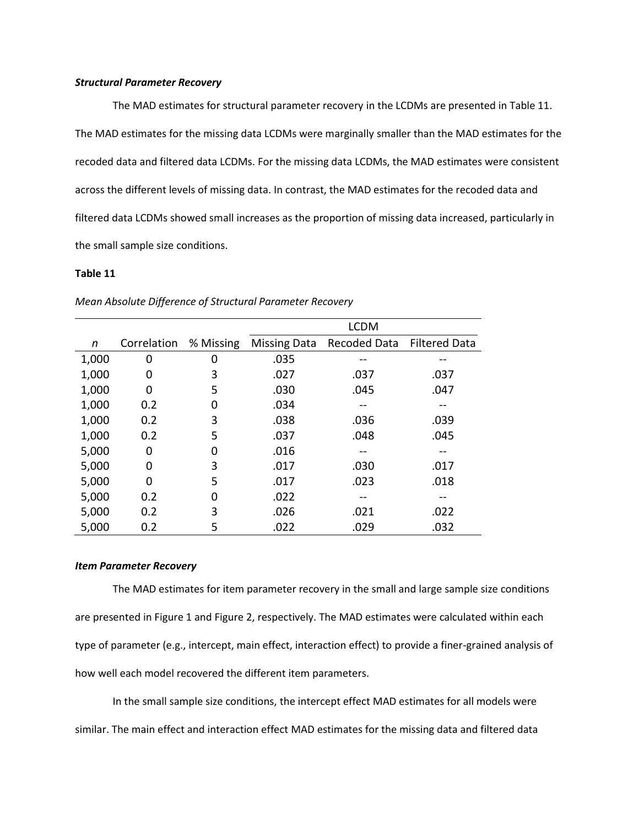## *Structural Parameter Recovery*

The MAD estimates for structural parameter recovery in the LCDMs are presented in Table 11. The MAD estimates for the missing data LCDMs were marginally smaller than the MAD estimates for the recoded data and filtered data LCDMs. For the missing data LCDMs, the MAD estimates were consistent across the different levels of missing data. In contrast, the MAD estimates for the recoded data and filtered data LCDMs showed small increases as the proportion of missing data increased, particularly in the small sample size conditions.

## **Table 11**

|       |             |           | <b>LCDM</b>         |              |                      |  |  |  |
|-------|-------------|-----------|---------------------|--------------|----------------------|--|--|--|
| n     | Correlation | % Missing | <b>Missing Data</b> | Recoded Data | <b>Filtered Data</b> |  |  |  |
| 1,000 | 0           | 0         | .035                |              |                      |  |  |  |
| 1,000 | 0           | 3         | .027                | .037         | .037                 |  |  |  |
| 1,000 | 0           | 5         | .030                | .045         | .047                 |  |  |  |
| 1,000 | 0.2         | 0         | .034                |              |                      |  |  |  |
| 1,000 | 0.2         | 3         | .038                | .036         | .039                 |  |  |  |
| 1,000 | 0.2         | 5         | .037                | .048         | .045                 |  |  |  |
| 5,000 | 0           | O         | .016                |              |                      |  |  |  |
| 5,000 | 0           | 3         | .017                | .030         | .017                 |  |  |  |
| 5,000 | O           | 5         | .017                | .023         | .018                 |  |  |  |
| 5,000 | 0.2         | 0         | .022                |              |                      |  |  |  |
| 5,000 | 0.2         | 3         | .026                | .021         | .022                 |  |  |  |
| 5,000 | 0.2         | 5         | .022                | .029         | .032                 |  |  |  |

## *Mean Absolute Difference of Structural Parameter Recovery*

#### *Item Parameter Recovery*

The MAD estimates for item parameter recovery in the small and large sample size conditions are presented in Figure 1 and Figure 2, respectively. The MAD estimates were calculated within each type of parameter (e.g., intercept, main effect, interaction effect) to provide a finer-grained analysis of how well each model recovered the different item parameters.

In the small sample size conditions, the intercept effect MAD estimates for all models were similar. The main effect and interaction effect MAD estimates for the missing data and filtered data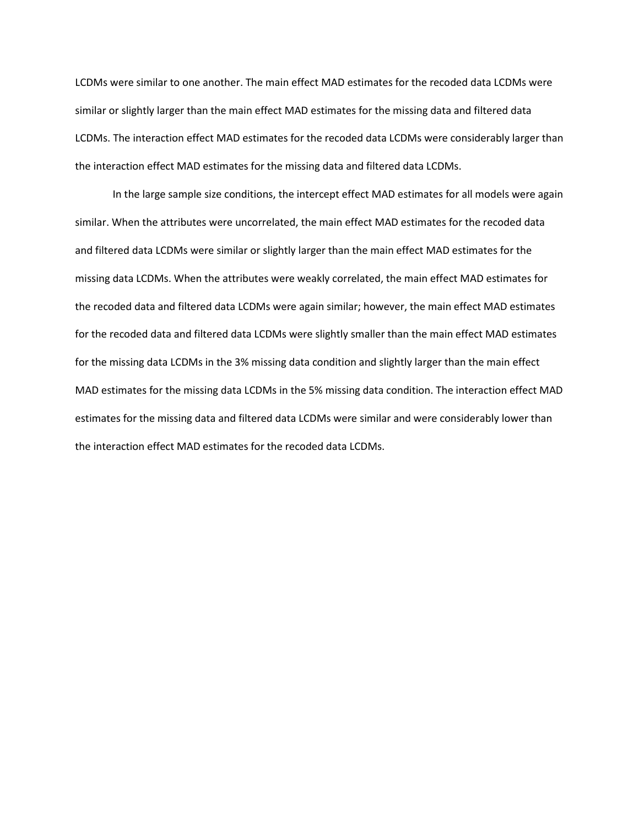LCDMs were similar to one another. The main effect MAD estimates for the recoded data LCDMs were similar or slightly larger than the main effect MAD estimates for the missing data and filtered data LCDMs. The interaction effect MAD estimates for the recoded data LCDMs were considerably larger than the interaction effect MAD estimates for the missing data and filtered data LCDMs.

In the large sample size conditions, the intercept effect MAD estimates for all models were again similar. When the attributes were uncorrelated, the main effect MAD estimates for the recoded data and filtered data LCDMs were similar or slightly larger than the main effect MAD estimates for the missing data LCDMs. When the attributes were weakly correlated, the main effect MAD estimates for the recoded data and filtered data LCDMs were again similar; however, the main effect MAD estimates for the recoded data and filtered data LCDMs were slightly smaller than the main effect MAD estimates for the missing data LCDMs in the 3% missing data condition and slightly larger than the main effect MAD estimates for the missing data LCDMs in the 5% missing data condition. The interaction effect MAD estimates for the missing data and filtered data LCDMs were similar and were considerably lower than the interaction effect MAD estimates for the recoded data LCDMs.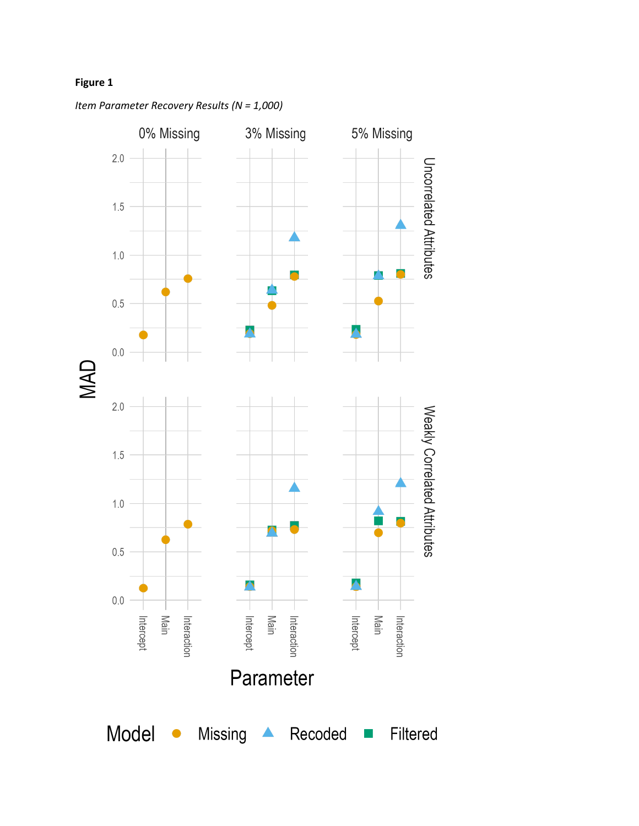# **Figure 1**



*Item Parameter Recovery Results (N = 1,000)*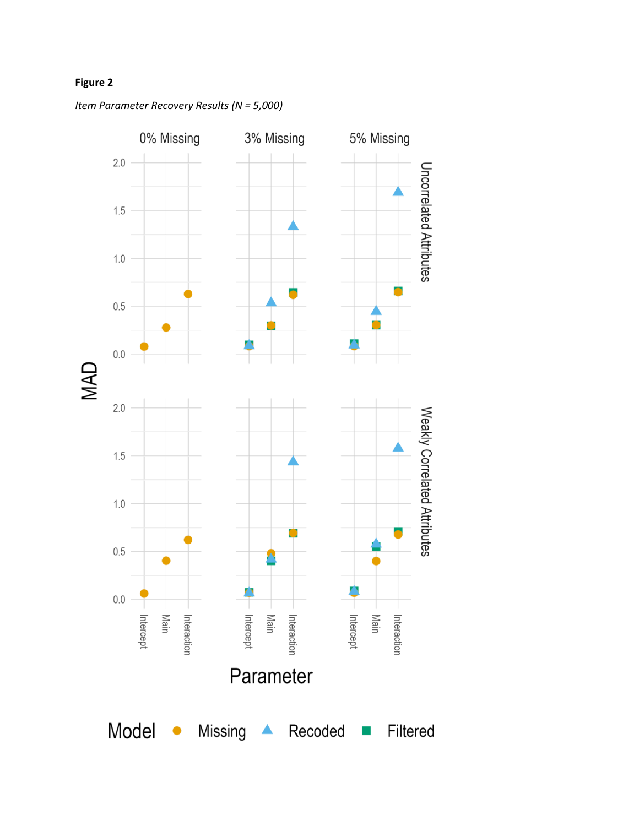# **Figure 2**



*Item Parameter Recovery Results (N = 5,000)*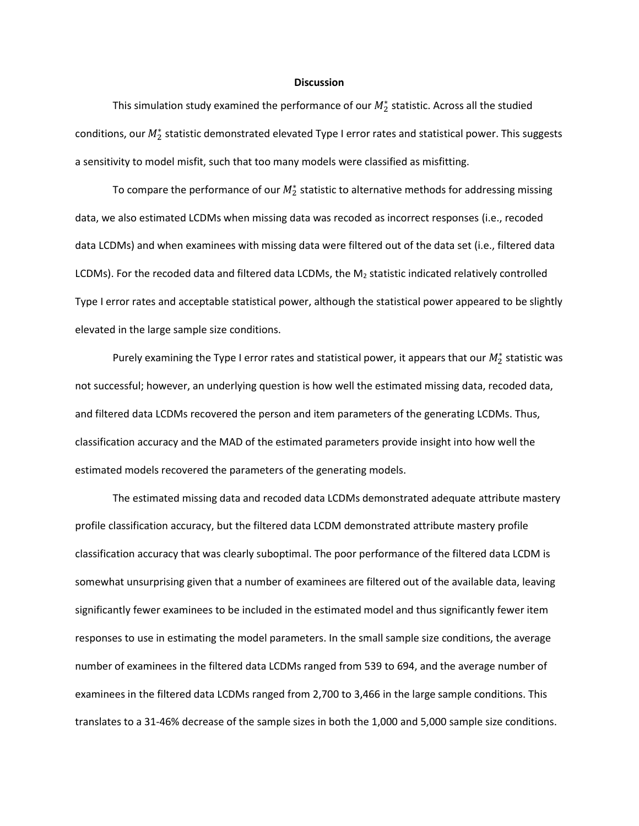#### **Discussion**

This simulation study examined the performance of our  $M_2^*$  statistic. Across all the studied conditions, our  $M_2^*$  statistic demonstrated elevated Type I error rates and statistical power. This suggests a sensitivity to model misfit, such that too many models were classified as misfitting.

To compare the performance of our  $M_2^*$  statistic to alternative methods for addressing missing data, we also estimated LCDMs when missing data was recoded as incorrect responses (i.e., recoded data LCDMs) and when examinees with missing data were filtered out of the data set (i.e., filtered data LCDMs). For the recoded data and filtered data LCDMs, the  $M_2$  statistic indicated relatively controlled Type I error rates and acceptable statistical power, although the statistical power appeared to be slightly elevated in the large sample size conditions.

Purely examining the Type I error rates and statistical power, it appears that our  $M_2^*$  statistic was not successful; however, an underlying question is how well the estimated missing data, recoded data, and filtered data LCDMs recovered the person and item parameters of the generating LCDMs. Thus, classification accuracy and the MAD of the estimated parameters provide insight into how well the estimated models recovered the parameters of the generating models.

The estimated missing data and recoded data LCDMs demonstrated adequate attribute mastery profile classification accuracy, but the filtered data LCDM demonstrated attribute mastery profile classification accuracy that was clearly suboptimal. The poor performance of the filtered data LCDM is somewhat unsurprising given that a number of examinees are filtered out of the available data, leaving significantly fewer examinees to be included in the estimated model and thus significantly fewer item responses to use in estimating the model parameters. In the small sample size conditions, the average number of examinees in the filtered data LCDMs ranged from 539 to 694, and the average number of examinees in the filtered data LCDMs ranged from 2,700 to 3,466 in the large sample conditions. This translates to a 31-46% decrease of the sample sizes in both the 1,000 and 5,000 sample size conditions.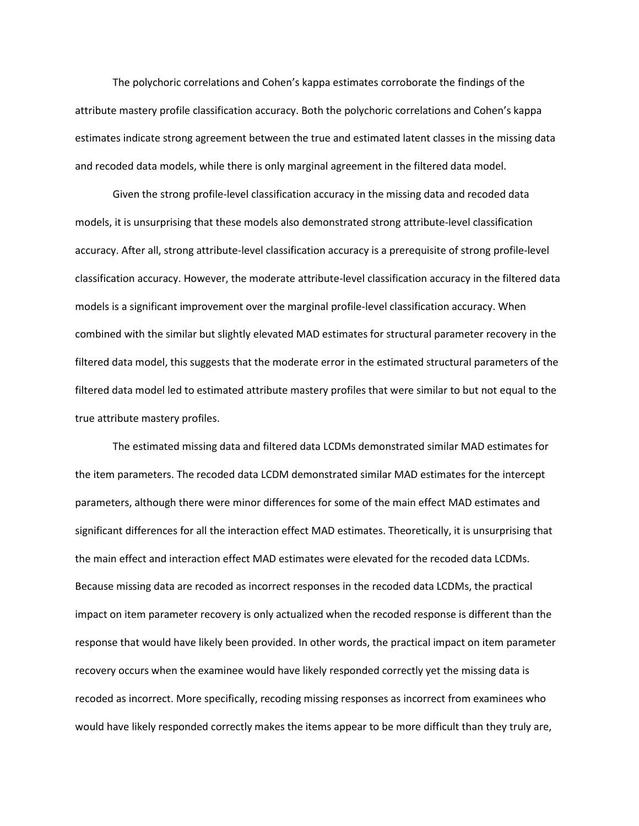The polychoric correlations and Cohen's kappa estimates corroborate the findings of the attribute mastery profile classification accuracy. Both the polychoric correlations and Cohen's kappa estimates indicate strong agreement between the true and estimated latent classes in the missing data and recoded data models, while there is only marginal agreement in the filtered data model.

Given the strong profile-level classification accuracy in the missing data and recoded data models, it is unsurprising that these models also demonstrated strong attribute-level classification accuracy. After all, strong attribute-level classification accuracy is a prerequisite of strong profile-level classification accuracy. However, the moderate attribute-level classification accuracy in the filtered data models is a significant improvement over the marginal profile-level classification accuracy. When combined with the similar but slightly elevated MAD estimates for structural parameter recovery in the filtered data model, this suggests that the moderate error in the estimated structural parameters of the filtered data model led to estimated attribute mastery profiles that were similar to but not equal to the true attribute mastery profiles.

The estimated missing data and filtered data LCDMs demonstrated similar MAD estimates for the item parameters. The recoded data LCDM demonstrated similar MAD estimates for the intercept parameters, although there were minor differences for some of the main effect MAD estimates and significant differences for all the interaction effect MAD estimates. Theoretically, it is unsurprising that the main effect and interaction effect MAD estimates were elevated for the recoded data LCDMs. Because missing data are recoded as incorrect responses in the recoded data LCDMs, the practical impact on item parameter recovery is only actualized when the recoded response is different than the response that would have likely been provided. In other words, the practical impact on item parameter recovery occurs when the examinee would have likely responded correctly yet the missing data is recoded as incorrect. More specifically, recoding missing responses as incorrect from examinees who would have likely responded correctly makes the items appear to be more difficult than they truly are,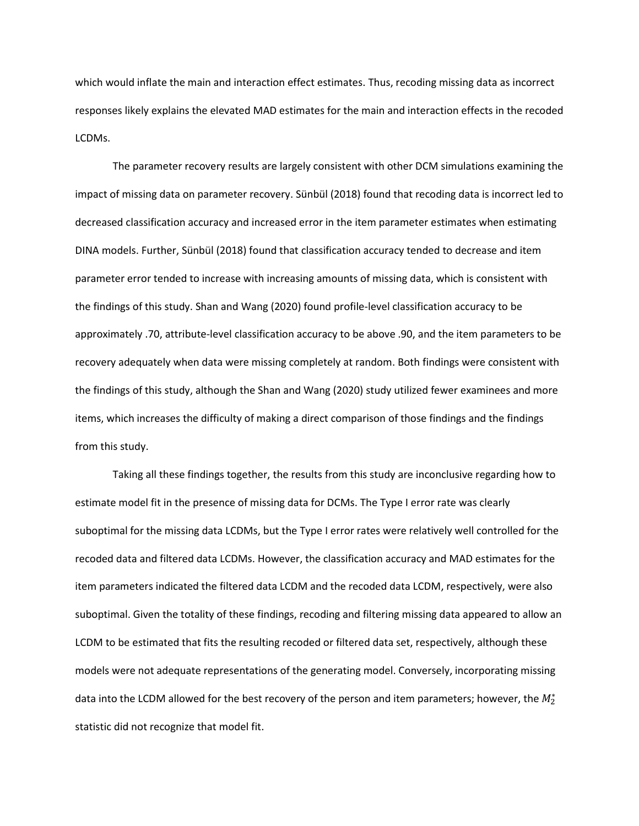which would inflate the main and interaction effect estimates. Thus, recoding missing data as incorrect responses likely explains the elevated MAD estimates for the main and interaction effects in the recoded LCDMs.

The parameter recovery results are largely consistent with other DCM simulations examining the impact of missing data on parameter recovery. Sünbül (2018) found that recoding data is incorrect led to decreased classification accuracy and increased error in the item parameter estimates when estimating DINA models. Further, Sünbül (2018) found that classification accuracy tended to decrease and item parameter error tended to increase with increasing amounts of missing data, which is consistent with the findings of this study. Shan and Wang (2020) found profile-level classification accuracy to be approximately .70, attribute-level classification accuracy to be above .90, and the item parameters to be recovery adequately when data were missing completely at random. Both findings were consistent with the findings of this study, although the Shan and Wang (2020) study utilized fewer examinees and more items, which increases the difficulty of making a direct comparison of those findings and the findings from this study.

 Taking all these findings together, the results from this study are inconclusive regarding how to estimate model fit in the presence of missing data for DCMs. The Type I error rate was clearly suboptimal for the missing data LCDMs, but the Type I error rates were relatively well controlled for the recoded data and filtered data LCDMs. However, the classification accuracy and MAD estimates for the item parameters indicated the filtered data LCDM and the recoded data LCDM, respectively, were also suboptimal. Given the totality of these findings, recoding and filtering missing data appeared to allow an LCDM to be estimated that fits the resulting recoded or filtered data set, respectively, although these models were not adequate representations of the generating model. Conversely, incorporating missing data into the LCDM allowed for the best recovery of the person and item parameters; however, the  $M^*_2$ statistic did not recognize that model fit.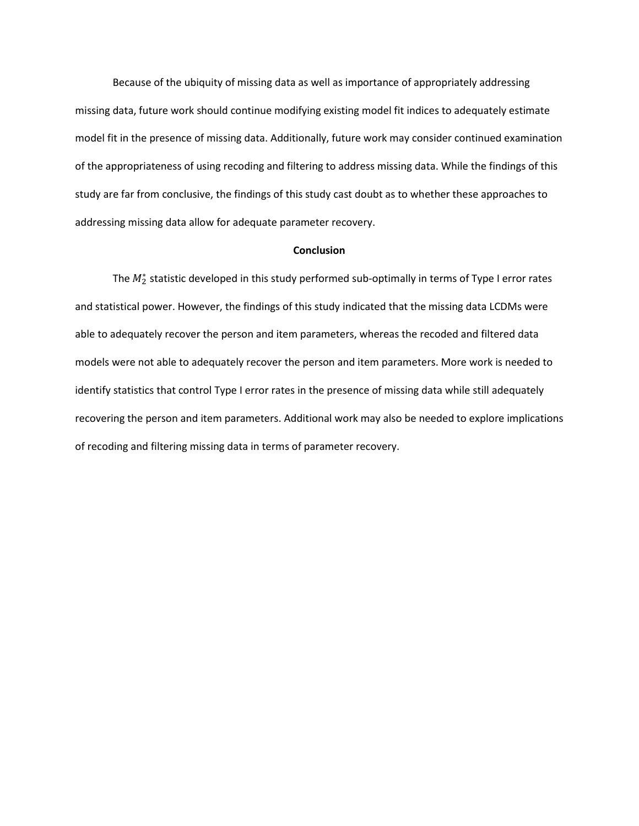Because of the ubiquity of missing data as well as importance of appropriately addressing missing data, future work should continue modifying existing model fit indices to adequately estimate model fit in the presence of missing data. Additionally, future work may consider continued examination of the appropriateness of using recoding and filtering to address missing data. While the findings of this study are far from conclusive, the findings of this study cast doubt as to whether these approaches to addressing missing data allow for adequate parameter recovery.

#### **Conclusion**

The  $M_2^*$  statistic developed in this study performed sub-optimally in terms of Type I error rates and statistical power. However, the findings of this study indicated that the missing data LCDMs were able to adequately recover the person and item parameters, whereas the recoded and filtered data models were not able to adequately recover the person and item parameters. More work is needed to identify statistics that control Type I error rates in the presence of missing data while still adequately recovering the person and item parameters. Additional work may also be needed to explore implications of recoding and filtering missing data in terms of parameter recovery.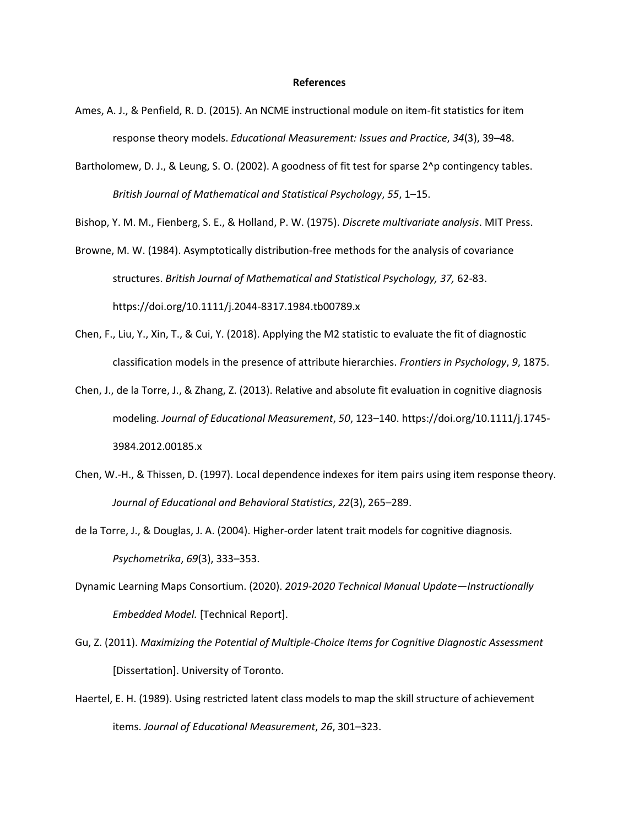#### **References**

- Ames, A. J., & Penfield, R. D. (2015). An NCME instructional module on item-fit statistics for item response theory models. *Educational Measurement: Issues and Practice*, *34*(3), 39–48.
- Bartholomew, D. J., & Leung, S. O. (2002). A goodness of fit test for sparse 2^p contingency tables. *British Journal of Mathematical and Statistical Psychology*, *55*, 1–15.

Bishop, Y. M. M., Fienberg, S. E., & Holland, P. W. (1975). *Discrete multivariate analysis*. MIT Press.

- Browne, M. W. (1984). Asymptotically distribution-free methods for the analysis of covariance structures. *British Journal of Mathematical and Statistical Psychology, 37,* 62-83. https://doi.org/10.1111/j.2044-8317.1984.tb00789.x
- Chen, F., Liu, Y., Xin, T., & Cui, Y. (2018). Applying the M2 statistic to evaluate the fit of diagnostic classification models in the presence of attribute hierarchies. *Frontiers in Psychology*, *9*, 1875.
- Chen, J., de la Torre, J., & Zhang, Z. (2013). Relative and absolute fit evaluation in cognitive diagnosis modeling. *Journal of Educational Measurement*, *50*, 123–140. https://doi.org/10.1111/j.1745- 3984.2012.00185.x
- Chen, W.-H., & Thissen, D. (1997). Local dependence indexes for item pairs using item response theory. *Journal of Educational and Behavioral Statistics*, *22*(3), 265–289.
- de la Torre, J., & Douglas, J. A. (2004). Higher-order latent trait models for cognitive diagnosis. *Psychometrika*, *69*(3), 333–353.
- Dynamic Learning Maps Consortium. (2020). *2019-2020 Technical Manual Update—Instructionally Embedded Model.* [Technical Report].
- Gu, Z. (2011). *Maximizing the Potential of Multiple-Choice Items for Cognitive Diagnostic Assessment* [Dissertation]. University of Toronto.
- Haertel, E. H. (1989). Using restricted latent class models to map the skill structure of achievement items. *Journal of Educational Measurement*, *26*, 301–323.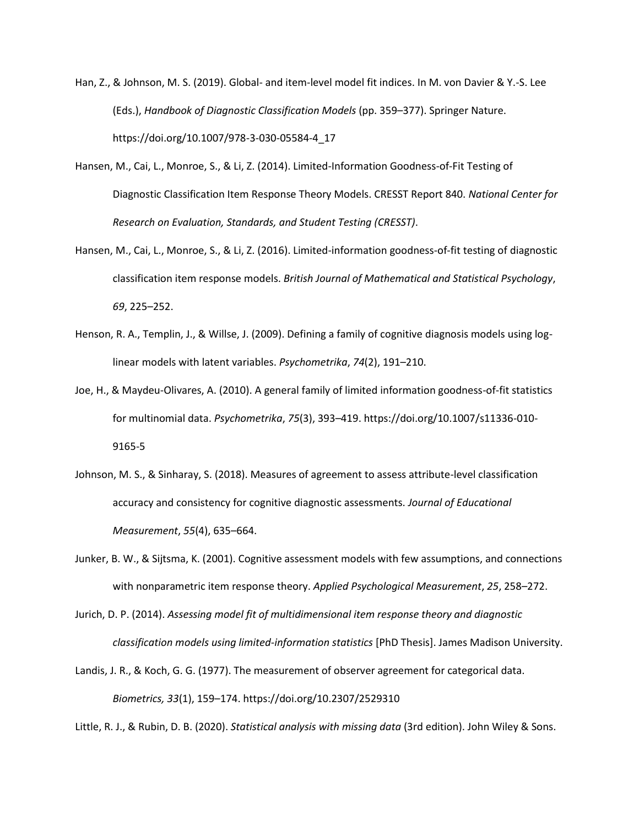- Han, Z., & Johnson, M. S. (2019). Global- and item-level model fit indices. In M. von Davier & Y.-S. Lee (Eds.), *Handbook of Diagnostic Classification Models* (pp. 359–377). Springer Nature. https://doi.org/10.1007/978-3-030-05584-4\_17
- Hansen, M., Cai, L., Monroe, S., & Li, Z. (2014). Limited-Information Goodness-of-Fit Testing of Diagnostic Classification Item Response Theory Models. CRESST Report 840. *National Center for Research on Evaluation, Standards, and Student Testing (CRESST)*.
- Hansen, M., Cai, L., Monroe, S., & Li, Z. (2016). Limited-information goodness-of-fit testing of diagnostic classification item response models. *British Journal of Mathematical and Statistical Psychology*, *69*, 225–252.
- Henson, R. A., Templin, J., & Willse, J. (2009). Defining a family of cognitive diagnosis models using loglinear models with latent variables. *Psychometrika*, *74*(2), 191–210.
- Joe, H., & Maydeu-Olivares, A. (2010). A general family of limited information goodness-of-fit statistics for multinomial data. *Psychometrika*, *75*(3), 393–419. https://doi.org/10.1007/s11336-010- 9165-5
- Johnson, M. S., & Sinharay, S. (2018). Measures of agreement to assess attribute-level classification accuracy and consistency for cognitive diagnostic assessments. *Journal of Educational Measurement*, *55*(4), 635–664.
- Junker, B. W., & Sijtsma, K. (2001). Cognitive assessment models with few assumptions, and connections with nonparametric item response theory. *Applied Psychological Measurement*, *25*, 258–272.
- Jurich, D. P. (2014). *Assessing model fit of multidimensional item response theory and diagnostic classification models using limited-information statistics* [PhD Thesis]. James Madison University.
- Landis, J. R., & Koch, G. G. (1977). The measurement of observer agreement for categorical data. *Biometrics, 33*(1), 159–174. https://doi.org/10.2307/2529310

Little, R. J., & Rubin, D. B. (2020). *Statistical analysis with missing data* (3rd edition). John Wiley & Sons.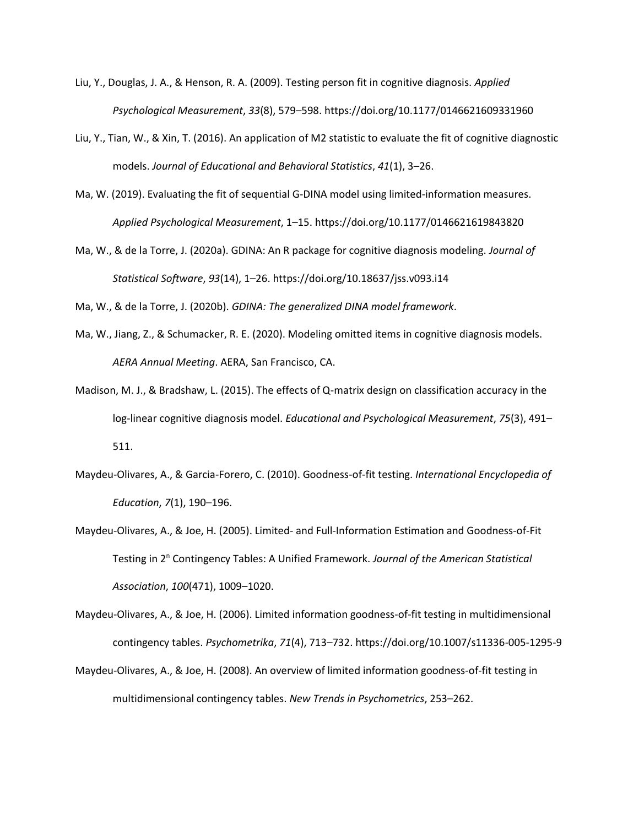- Liu, Y., Douglas, J. A., & Henson, R. A. (2009). Testing person fit in cognitive diagnosis. *Applied Psychological Measurement*, *33*(8), 579–598. https://doi.org/10.1177/0146621609331960
- Liu, Y., Tian, W., & Xin, T. (2016). An application of M2 statistic to evaluate the fit of cognitive diagnostic models. *Journal of Educational and Behavioral Statistics*, *41*(1), 3–26.
- Ma, W. (2019). Evaluating the fit of sequential G-DINA model using limited-information measures. *Applied Psychological Measurement*, 1–15. https://doi.org/10.1177/0146621619843820
- Ma, W., & de la Torre, J. (2020a). GDINA: An R package for cognitive diagnosis modeling. *Journal of Statistical Software*, *93*(14), 1–26. https://doi.org/10.18637/jss.v093.i14

Ma, W., & de la Torre, J. (2020b). *GDINA: The generalized DINA model framework*.

- Ma, W., Jiang, Z., & Schumacker, R. E. (2020). Modeling omitted items in cognitive diagnosis models. *AERA Annual Meeting*. AERA, San Francisco, CA.
- Madison, M. J., & Bradshaw, L. (2015). The effects of Q-matrix design on classification accuracy in the log-linear cognitive diagnosis model. *Educational and Psychological Measurement*, *75*(3), 491– 511.
- Maydeu-Olivares, A., & Garcia-Forero, C. (2010). Goodness-of-fit testing. *International Encyclopedia of Education*, *7*(1), 190–196.
- Maydeu-Olivares, A., & Joe, H. (2005). Limited- and Full-Information Estimation and Goodness-of-Fit Testing in 2<sup>n</sup> Contingency Tables: A Unified Framework. *Journal of the American Statistical Association*, *100*(471), 1009–1020.
- Maydeu-Olivares, A., & Joe, H. (2006). Limited information goodness-of-fit testing in multidimensional contingency tables. *Psychometrika*, *71*(4), 713–732. https://doi.org/10.1007/s11336-005-1295-9
- Maydeu-Olivares, A., & Joe, H. (2008). An overview of limited information goodness-of-fit testing in multidimensional contingency tables. *New Trends in Psychometrics*, 253–262.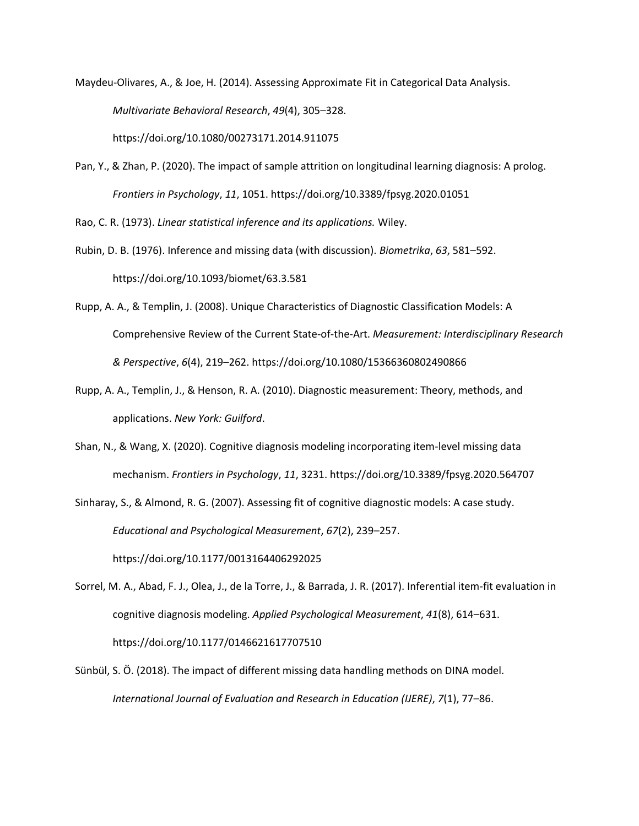- Maydeu-Olivares, A., & Joe, H. (2014). Assessing Approximate Fit in Categorical Data Analysis. *Multivariate Behavioral Research*, *49*(4), 305–328. https://doi.org/10.1080/00273171.2014.911075
- Pan, Y., & Zhan, P. (2020). The impact of sample attrition on longitudinal learning diagnosis: A prolog. *Frontiers in Psychology*, *11*, 1051. https://doi.org/10.3389/fpsyg.2020.01051

Rao, C. R. (1973). *Linear statistical inference and its applications.* Wiley.

- Rubin, D. B. (1976). Inference and missing data (with discussion). *Biometrika*, *63*, 581–592. https://doi.org/10.1093/biomet/63.3.581
- Rupp, A. A., & Templin, J. (2008). Unique Characteristics of Diagnostic Classification Models: A Comprehensive Review of the Current State-of-the-Art. *Measurement: Interdisciplinary Research & Perspective*, *6*(4), 219–262. https://doi.org/10.1080/15366360802490866
- Rupp, A. A., Templin, J., & Henson, R. A. (2010). Diagnostic measurement: Theory, methods, and applications. *New York: Guilford*.
- Shan, N., & Wang, X. (2020). Cognitive diagnosis modeling incorporating item-level missing data mechanism. *Frontiers in Psychology*, *11*, 3231. https://doi.org/10.3389/fpsyg.2020.564707

Sinharay, S., & Almond, R. G. (2007). Assessing fit of cognitive diagnostic models: A case study. *Educational and Psychological Measurement*, *67*(2), 239–257. https://doi.org/10.1177/0013164406292025

Sorrel, M. A., Abad, F. J., Olea, J., de la Torre, J., & Barrada, J. R. (2017). Inferential item-fit evaluation in cognitive diagnosis modeling. *Applied Psychological Measurement*, *41*(8), 614–631. https://doi.org/10.1177/0146621617707510

Sünbül, S. Ö. (2018). The impact of different missing data handling methods on DINA model. *International Journal of Evaluation and Research in Education (IJERE)*, *7*(1), 77–86.